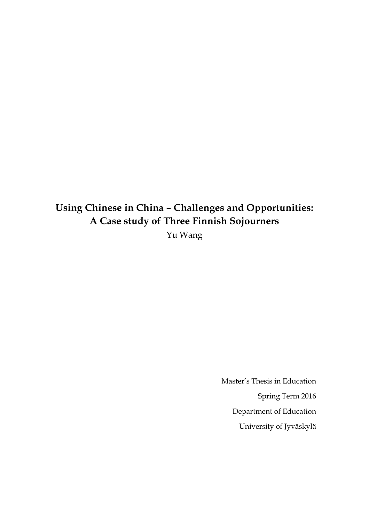# **Using Chinese in China – Challenges and Opportunities: A Case study of Three Finnish Sojourners**

Yu Wang

Master's Thesis in Education Spring Term 2016 Department of Education University of Jyväskylä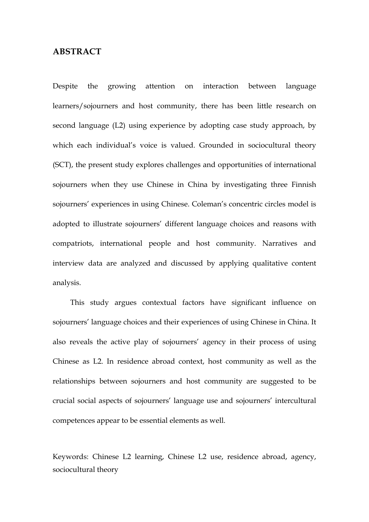## **ABSTRACT**

Despite the growing attention on interaction between language learners/sojourners and host community, there has been little research on second language (L2) using experience by adopting case study approach, by which each individual's voice is valued. Grounded in sociocultural theory (SCT), the present study explores challenges and opportunities of international sojourners when they use Chinese in China by investigating three Finnish sojourners' experiences in using Chinese. Coleman's concentric circles model is adopted to illustrate sojourners' different language choices and reasons with compatriots, international people and host community. Narratives and interview data are analyzed and discussed by applying qualitative content analysis.

This study argues contextual factors have significant influence on sojourners' language choices and their experiences of using Chinese in China. It also reveals the active play of sojourners' agency in their process of using Chinese as L2. In residence abroad context, host community as well as the relationships between sojourners and host community are suggested to be crucial social aspects of sojourners' language use and sojourners' intercultural competences appear to be essential elements as well.

Keywords: Chinese L2 learning, Chinese L2 use, residence abroad, agency, sociocultural theory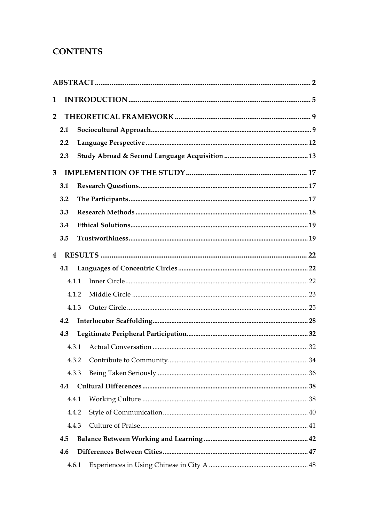## **CONTENTS**

| 1                       |     |       |  |  |  |  |
|-------------------------|-----|-------|--|--|--|--|
| $\overline{2}$          |     |       |  |  |  |  |
|                         | 2.1 |       |  |  |  |  |
|                         | 2.2 |       |  |  |  |  |
|                         | 2.3 |       |  |  |  |  |
| $\overline{3}$          |     |       |  |  |  |  |
|                         | 3.1 |       |  |  |  |  |
|                         | 3.2 |       |  |  |  |  |
|                         | 3.3 |       |  |  |  |  |
|                         | 3.4 |       |  |  |  |  |
|                         | 3.5 |       |  |  |  |  |
| $\overline{\mathbf{4}}$ |     |       |  |  |  |  |
|                         | 4.1 |       |  |  |  |  |
|                         |     | 4.1.1 |  |  |  |  |
|                         |     | 4.1.2 |  |  |  |  |
|                         |     | 4.1.3 |  |  |  |  |
|                         | 4.2 |       |  |  |  |  |
|                         | 4.3 |       |  |  |  |  |
|                         |     | 4.3.1 |  |  |  |  |
|                         |     | 4.3.2 |  |  |  |  |
|                         |     | 4.3.3 |  |  |  |  |
|                         | 4.4 |       |  |  |  |  |
|                         |     | 4.4.1 |  |  |  |  |
|                         |     | 4.4.2 |  |  |  |  |
|                         |     | 4.4.3 |  |  |  |  |
|                         | 4.5 |       |  |  |  |  |
|                         | 4.6 |       |  |  |  |  |
|                         |     | 4.6.1 |  |  |  |  |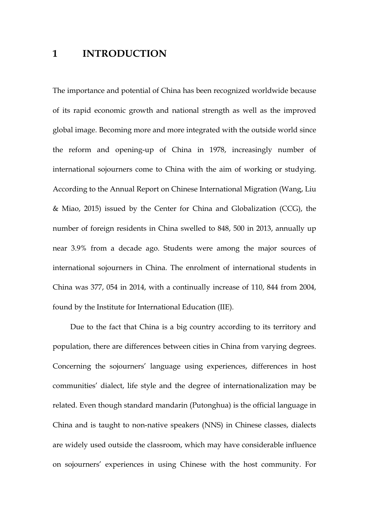## **1 INTRODUCTION**

The importance and potential of China has been recognized worldwide because of its rapid economic growth and national strength as well as the improved global image. Becoming more and more integrated with the outside world since the reform and opening-up of China in 1978, increasingly number of international sojourners come to China with the aim of working or studying. According to the Annual Report on Chinese International Migration (Wang, Liu & Miao, 2015) issued by the Center for China and Globalization (CCG), the number of foreign residents in China swelled to 848, 500 in 2013, annually up near 3.9% from a decade ago. Students were among the major sources of international sojourners in China. The enrolment of international students in China was 377, 054 in 2014, with a continually increase of 110, 844 from 2004, found by the Institute for International Education (IIE).

Due to the fact that China is a big country according to its territory and population, there are differences between cities in China from varying degrees. Concerning the sojourners' language using experiences, differences in host communities' dialect, life style and the degree of internationalization may be related. Even though standard mandarin (Putonghua) is the official language in China and is taught to non-native speakers (NNS) in Chinese classes, dialects are widely used outside the classroom, which may have considerable influence on sojourners' experiences in using Chinese with the host community. For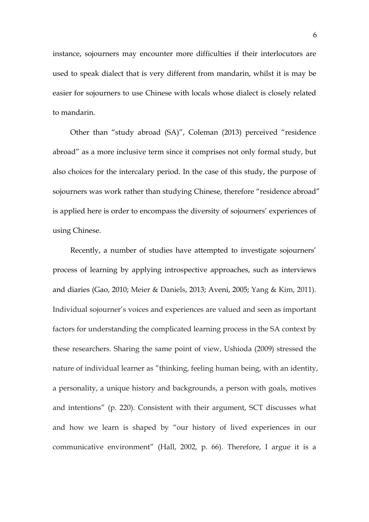instance, sojourners may encounter more difficulties if their interlocutors are used to speak dialect that is very different from mandarin, whilst it is may be easier for sojourners to use Chinese with locals whose dialect is closely related to mandarin.

Other than "study abroad (SA)", Coleman (2013) perceived "residence abroad" as a more inclusive term since it comprises not only formal study, but also choices for the intercalary period. In the case of this study, the purpose of sojourners was work rather than studying Chinese, therefore "residence abroad" is applied here is order to encompass the diversity of sojourners' experiences of using Chinese.

Recently, a number of studies have attempted to investigate sojourners' process of learning by applying introspective approaches, such as interviews and diaries (Gao, 2010; Meier & Daniels, 2013; Aveni, 2005; Yang & Kim, 2011). Individual sojourner's voices and experiences are valued and seen as important factors for understanding the complicated learning process in the SA context by these researchers. Sharing the same point of view, Ushioda (2009) stressed the nature of individual learner as "thinking, feeling human being, with an identity, a personality, a unique history and backgrounds, a person with goals, motives and intentions" (p. 220). Consistent with their argument, SCT discusses what and how we learn is shaped by "our history of lived experiences in our communicative environment" (Hall, 2002, p. 66). Therefore, I argue it is a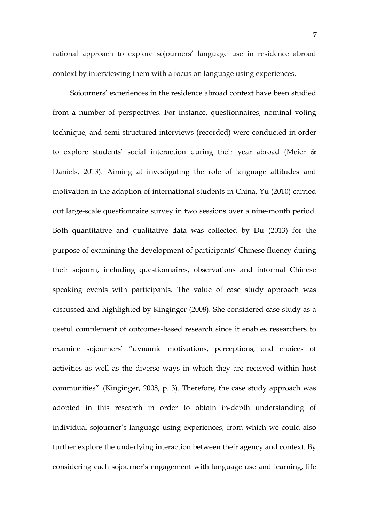rational approach to explore sojourners' language use in residence abroad context by interviewing them with a focus on language using experiences.

Sojourners' experiences in the residence abroad context have been studied from a number of perspectives. For instance, questionnaires, nominal voting technique, and semi-structured interviews (recorded) were conducted in order to explore students' social interaction during their year abroad (Meier & Daniels, 2013). Aiming at investigating the role of language attitudes and motivation in the adaption of international students in China, Yu (2010) carried out large-scale questionnaire survey in two sessions over a nine-month period. Both quantitative and qualitative data was collected by Du (2013) for the purpose of examining the development of participants' Chinese fluency during their sojourn, including questionnaires, observations and informal Chinese speaking events with participants. The value of case study approach was discussed and highlighted by Kinginger (2008). She considered case study as a useful complement of outcomes-based research since it enables researchers to examine sojourners' "dynamic motivations, perceptions, and choices of activities as well as the diverse ways in which they are received within host communities" (Kinginger, 2008, p. 3). Therefore, the case study approach was adopted in this research in order to obtain in-depth understanding of individual sojourner's language using experiences, from which we could also further explore the underlying interaction between their agency and context. By considering each sojourner's engagement with language use and learning, life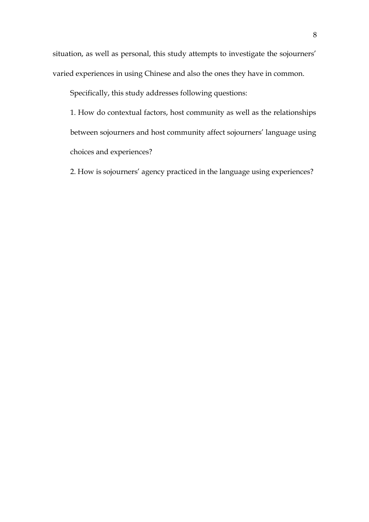situation, as well as personal, this study attempts to investigate the sojourners' varied experiences in using Chinese and also the ones they have in common.

Specifically, this study addresses following questions:

1. How do contextual factors, host community as well as the relationships between sojourners and host community affect sojourners' language using choices and experiences?

2. How is sojourners' agency practiced in the language using experiences?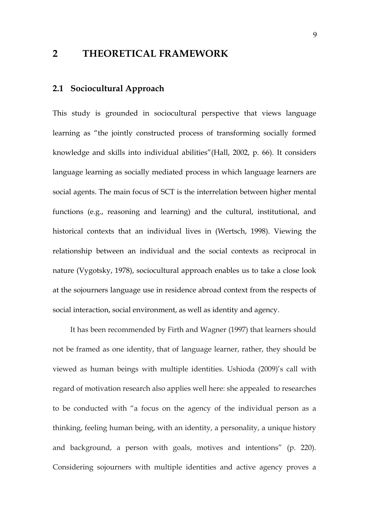## **2 THEORETICAL FRAMEWORK**

## **2.1 Sociocultural Approach**

This study is grounded in sociocultural perspective that views language learning as "the jointly constructed process of transforming socially formed knowledge and skills into individual abilities"(Hall, 2002, p. 66). It considers language learning as socially mediated process in which language learners are social agents. The main focus of SCT is the interrelation between higher mental functions (e.g., reasoning and learning) and the cultural, institutional, and historical contexts that an individual lives in (Wertsch, 1998). Viewing the relationship between an individual and the social contexts as reciprocal in nature (Vygotsky, 1978), sociocultural approach enables us to take a close look at the sojourners language use in residence abroad context from the respects of social interaction, social environment, as well as identity and agency.

It has been recommended by Firth and Wagner (1997) that learners should not be framed as one identity, that of language learner, rather, they should be viewed as human beings with multiple identities. Ushioda (2009)'s call with regard of motivation research also applies well here: she appealed to researches to be conducted with "a focus on the agency of the individual person as a thinking, feeling human being, with an identity, a personality, a unique history and background, a person with goals, motives and intentions" (p. 220). Considering sojourners with multiple identities and active agency proves a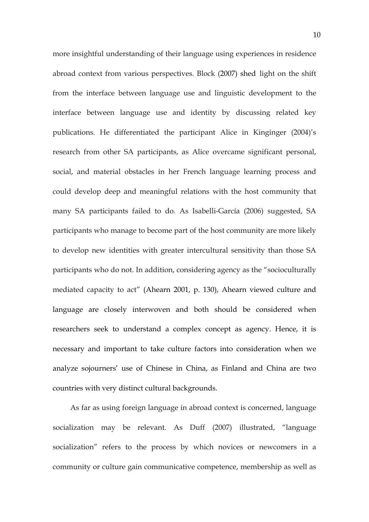more insightful understanding of their language using experiences in residence abroad context from various perspectives. Block (2007) shed light on the shift from the interface between language use and linguistic development to the interface between language use and identity by discussing related key publications. He differentiated the participant Alice in Kinginger (2004)'s research from other SA participants, as Alice overcame significant personal, social, and material obstacles in her French language learning process and could develop deep and meaningful relations with the host community that many SA participants failed to do. As Isabelli-García (2006) suggested, SA participants who manage to become part of the host community are more likely to develop new identities with greater intercultural sensitivity than those SA participants who do not. In addition, considering agency as the "socioculturally mediated capacity to act" (Ahearn 2001, p. 130), Ahearn viewed culture and language are closely interwoven and both should be considered when researchers seek to understand a complex concept as agency. Hence, it is necessary and important to take culture factors into consideration when we analyze sojourners' use of Chinese in China, as Finland and China are two countries with very distinct cultural backgrounds.

As far as using foreign language in abroad context is concerned, language socialization may be relevant. As Duff (2007) illustrated, "language socialization" refers to the process by which novices or newcomers in a community or culture gain communicative competence, membership as well as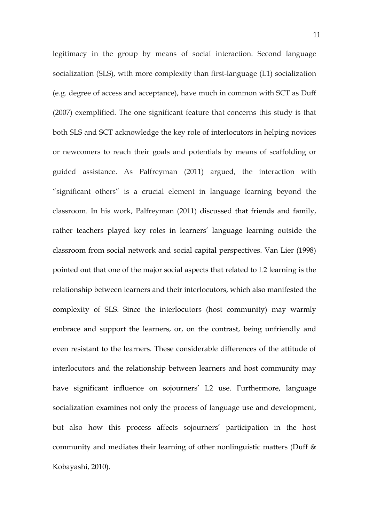legitimacy in the group by means of social interaction. Second language socialization (SLS), with more complexity than first-language (L1) socialization (e.g. degree of access and acceptance), have much in common with SCT as Duff (2007) exemplified. The one significant feature that concerns this study is that both SLS and SCT acknowledge the key role of interlocutors in helping novices or newcomers to reach their goals and potentials by means of scaffolding or guided assistance. As Palfreyman (2011) argued, the interaction with "significant others" is a crucial element in language learning beyond the classroom. In his work, Palfreyman (2011) discussed that friends and family, rather teachers played key roles in learners' language learning outside the classroom from social network and social capital perspectives. Van Lier (1998) pointed out that one of the major social aspects that related to L2 learning is the relationship between learners and their interlocutors, which also manifested the complexity of SLS. Since the interlocutors (host community) may warmly embrace and support the learners, or, on the contrast, being unfriendly and even resistant to the learners. These considerable differences of the attitude of interlocutors and the relationship between learners and host community may have significant influence on sojourners' L2 use. Furthermore, language socialization examines not only the process of language use and development, but also how this process affects sojourners' participation in the host community and mediates their learning of other nonlinguistic matters (Duff & Kobayashi, 2010).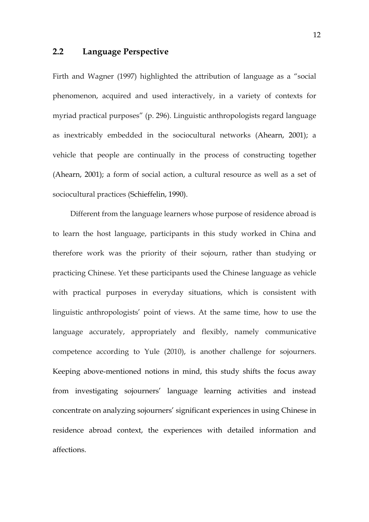## **2.2 Language Perspective**

Firth and Wagner (1997) highlighted the attribution of language as a "social phenomenon, acquired and used interactively, in a variety of contexts for myriad practical purposes" (p. 296). Linguistic anthropologists regard language as inextricably embedded in the sociocultural networks (Ahearn, 2001); a vehicle that people are continually in the process of constructing together (Ahearn, 2001); a form of social action, a cultural resource as well as a set of sociocultural practices (Schieffelin, 1990).

Different from the language learners whose purpose of residence abroad is to learn the host language, participants in this study worked in China and therefore work was the priority of their sojourn, rather than studying or practicing Chinese. Yet these participants used the Chinese language as vehicle with practical purposes in everyday situations, which is consistent with linguistic anthropologists' point of views. At the same time, how to use the language accurately, appropriately and flexibly, namely communicative competence according to Yule (2010), is another challenge for sojourners. Keeping above-mentioned notions in mind, this study shifts the focus away from investigating sojourners' language learning activities and instead concentrate on analyzing sojourners' significant experiences in using Chinese in residence abroad context, the experiences with detailed information and affections.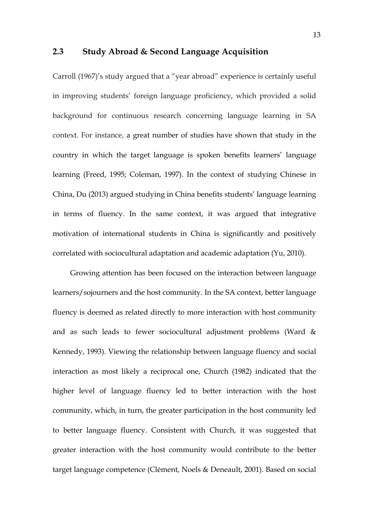#### **2.3 Study Abroad & Second Language Acquisition**

Carroll (1967)'s study argued that a "year abroad" experience is certainly useful in improving students' foreign language proficiency, which provided a solid background for continuous research concerning language learning in SA context. For instance, a great number of studies have shown that study in the country in which the target language is spoken benefits learners' language learning (Freed, 1995; Coleman, 1997). In the context of studying Chinese in China, Du (2013) argued studying in China benefits students' language learning in terms of fluency. In the same context, it was argued that integrative motivation of international students in China is significantly and positively correlated with sociocultural adaptation and academic adaptation (Yu, 2010).

Growing attention has been focused on the interaction between language learners/sojourners and the host community. In the SA context, better language fluency is deemed as related directly to more interaction with host community and as such leads to fewer sociocultural adjustment problems (Ward & Kennedy, 1993). Viewing the relationship between language fluency and social interaction as most likely a reciprocal one, Church (1982) indicated that the higher level of language fluency led to better interaction with the host community, which, in turn, the greater participation in the host community led to better language fluency. Consistent with Church, it was suggested that greater interaction with the host community would contribute to the better target language competence (Clément, Noels & Deneault, 2001). Based on social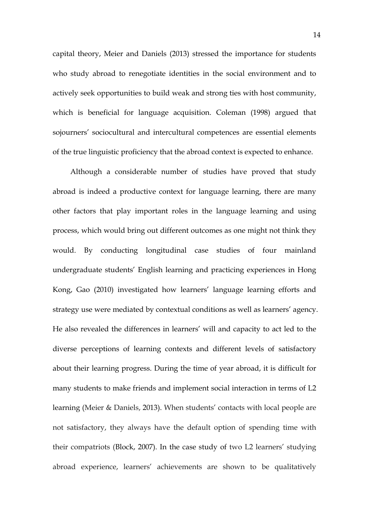capital theory, Meier and Daniels (2013) stressed the importance for students who study abroad to renegotiate identities in the social environment and to actively seek opportunities to build weak and strong ties with host community, which is beneficial for language acquisition. Coleman (1998) argued that sojourners' sociocultural and intercultural competences are essential elements of the true linguistic proficiency that the abroad context is expected to enhance.

Although a considerable number of studies have proved that study abroad is indeed a productive context for language learning, there are many other factors that play important roles in the language learning and using process, which would bring out different outcomes as one might not think they would. By conducting longitudinal case studies of four mainland undergraduate students' English learning and practicing experiences in Hong Kong, Gao (2010) investigated how learners' language learning efforts and strategy use were mediated by contextual conditions as well as learners' agency. He also revealed the differences in learners' will and capacity to act led to the diverse perceptions of learning contexts and different levels of satisfactory about their learning progress. During the time of year abroad, it is difficult for many students to make friends and implement social interaction in terms of L2 learning (Meier & Daniels, 2013). When students' contacts with local people are not satisfactory, they always have the default option of spending time with their compatriots (Block, 2007). In the case study of two L2 learners' studying abroad experience, learners' achievements are shown to be qualitatively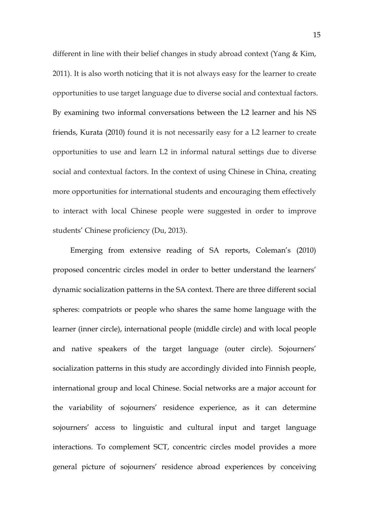different in line with their belief changes in study abroad context (Yang & Kim, 2011). It is also worth noticing that it is not always easy for the learner to create opportunities to use target language due to diverse social and contextual factors. By examining two informal conversations between the L2 learner and his NS friends, Kurata (2010) found it is not necessarily easy for a L2 learner to create opportunities to use and learn L2 in informal natural settings due to diverse social and contextual factors. In the context of using Chinese in China, creating more opportunities for international students and encouraging them effectively to interact with local Chinese people were suggested in order to improve students' Chinese proficiency (Du, 2013).

Emerging from extensive reading of SA reports, Coleman's (2010) proposed concentric circles model in order to better understand the learners' dynamic socialization patterns in the SA context. There are three different social spheres: compatriots or people who shares the same home language with the learner (inner circle), international people (middle circle) and with local people and native speakers of the target language (outer circle). Sojourners' socialization patterns in this study are accordingly divided into Finnish people, international group and local Chinese. Social networks are a major account for the variability of sojourners' residence experience, as it can determine sojourners' access to linguistic and cultural input and target language interactions. To complement SCT, concentric circles model provides a more general picture of sojourners' residence abroad experiences by conceiving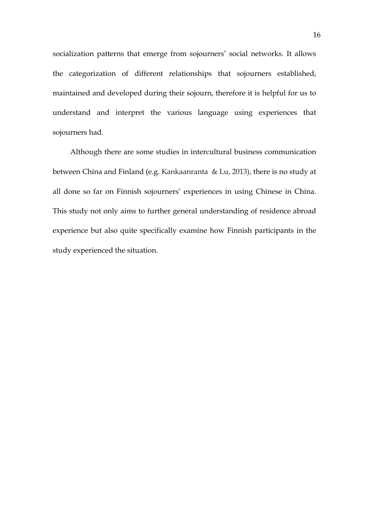socialization patterns that emerge from sojourners' social networks. It allows the categorization of different relationships that sojourners established, maintained and developed during their sojourn, therefore it is helpful for us to understand and interpret the various language using experiences that sojourners had.

Although there are some studies in intercultural business communication between China and Finland (e.g. Kankaanranta & Lu, 2013), there is no study at all done so far on Finnish sojourners' experiences in using Chinese in China. This study not only aims to further general understanding of residence abroad experience but also quite specifically examine how Finnish participants in the study experienced the situation.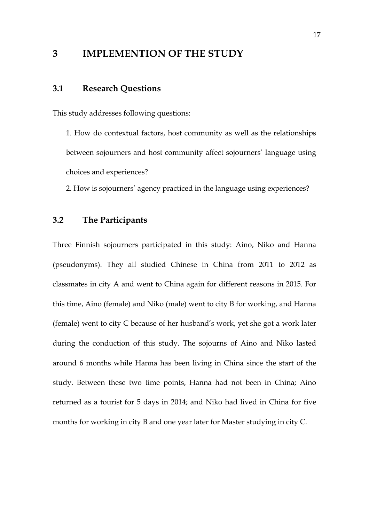## **3 IMPLEMENTION OF THE STUDY**

## **3.1 Research Questions**

This study addresses following questions:

1. How do contextual factors, host community as well as the relationships between sojourners and host community affect sojourners' language using choices and experiences?

2. How is sojourners' agency practiced in the language using experiences?

## **3.2 The Participants**

Three Finnish sojourners participated in this study: Aino, Niko and Hanna (pseudonyms). They all studied Chinese in China from 2011 to 2012 as classmates in city A and went to China again for different reasons in 2015. For this time, Aino (female) and Niko (male) went to city B for working, and Hanna (female) went to city C because of her husband's work, yet she got a work later during the conduction of this study. The sojourns of Aino and Niko lasted around 6 months while Hanna has been living in China since the start of the study. Between these two time points, Hanna had not been in China; Aino returned as a tourist for 5 days in 2014; and Niko had lived in China for five months for working in city B and one year later for Master studying in city C.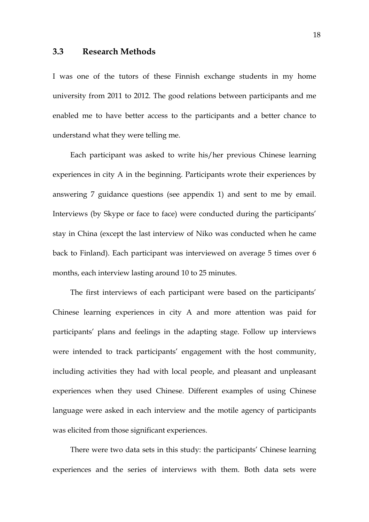### **3.3 Research Methods**

I was one of the tutors of these Finnish exchange students in my home university from 2011 to 2012. The good relations between participants and me enabled me to have better access to the participants and a better chance to understand what they were telling me.

Each participant was asked to write his/her previous Chinese learning experiences in city A in the beginning. Participants wrote their experiences by answering 7 guidance questions (see appendix 1) and sent to me by email. Interviews (by Skype or face to face) were conducted during the participants' stay in China (except the last interview of Niko was conducted when he came back to Finland). Each participant was interviewed on average 5 times over 6 months, each interview lasting around 10 to 25 minutes.

The first interviews of each participant were based on the participants' Chinese learning experiences in city A and more attention was paid for participants' plans and feelings in the adapting stage. Follow up interviews were intended to track participants' engagement with the host community, including activities they had with local people, and pleasant and unpleasant experiences when they used Chinese. Different examples of using Chinese language were asked in each interview and the motile agency of participants was elicited from those significant experiences.

There were two data sets in this study: the participants' Chinese learning experiences and the series of interviews with them. Both data sets were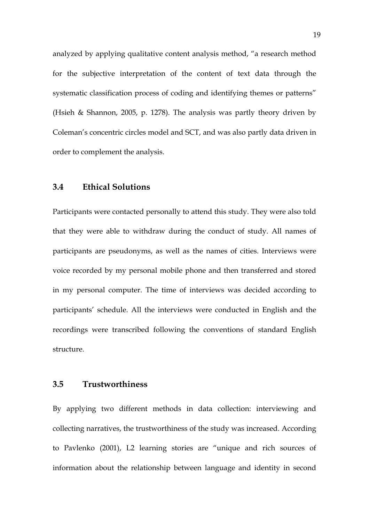analyzed by applying qualitative content analysis method, "a research method for the subjective interpretation of the content of text data through the systematic classification process of coding and identifying themes or patterns" (Hsieh & Shannon, 2005, p. 1278). The analysis was partly theory driven by Coleman's concentric circles model and SCT, and was also partly data driven in order to complement the analysis.

## **3.4 Ethical Solutions**

Participants were contacted personally to attend this study. They were also told that they were able to withdraw during the conduct of study. All names of participants are pseudonyms, as well as the names of cities. Interviews were voice recorded by my personal mobile phone and then transferred and stored in my personal computer. The time of interviews was decided according to participants' schedule. All the interviews were conducted in English and the recordings were transcribed following the conventions of standard English structure.

### **3.5 Trustworthiness**

By applying two different methods in data collection: interviewing and collecting narratives, the trustworthiness of the study was increased. According to Pavlenko (2001), L2 learning stories are "unique and rich sources of information about the relationship between language and identity in second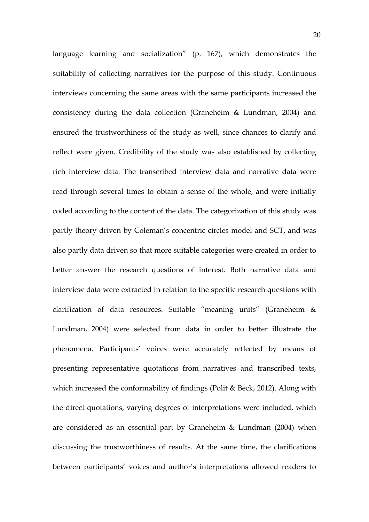language learning and socialization" (p. 167), which demonstrates the suitability of collecting narratives for the purpose of this study. Continuous interviews concerning the same areas with the same participants increased the consistency during the data collection (Graneheim & Lundman, 2004) and ensured the trustworthiness of the study as well, since chances to clarify and reflect were given. Credibility of the study was also established by collecting rich interview data. The transcribed interview data and narrative data were read through several times to obtain a sense of the whole, and were initially coded according to the content of the data. The categorization of this study was partly theory driven by Coleman's concentric circles model and SCT, and was also partly data driven so that more suitable categories were created in order to better answer the research questions of interest. Both narrative data and interview data were extracted in relation to the specific research questions with clarification of data resources. Suitable "meaning units" (Graneheim & Lundman, 2004) were selected from data in order to better illustrate the phenomena. Participants' voices were accurately reflected by means of presenting representative quotations from narratives and transcribed texts, which increased the conformability of findings (Polit & Beck, 2012). Along with the direct quotations, varying degrees of interpretations were included, which are considered as an essential part by Graneheim & Lundman (2004) when discussing the trustworthiness of results. At the same time, the clarifications between participants' voices and author's interpretations allowed readers to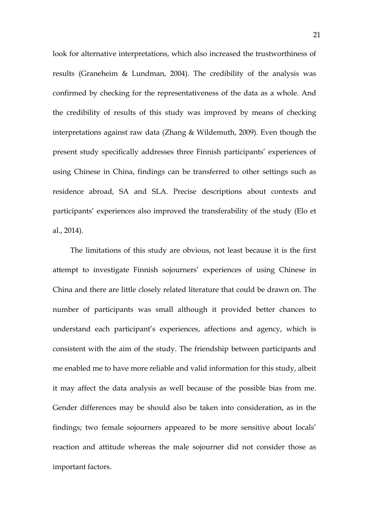look for alternative interpretations, which also increased the trustworthiness of results (Graneheim & Lundman, 2004). The credibility of the analysis was confirmed by checking for the representativeness of the data as a whole. And the credibility of results of this study was improved by means of checking interpretations against raw data (Zhang & Wildemuth, 2009). Even though the present study specifically addresses three Finnish participants' experiences of using Chinese in China, findings can be transferred to other settings such as residence abroad, SA and SLA. Precise descriptions about contexts and participants' experiences also improved the transferability of the study (Elo et al., 2014).

The limitations of this study are obvious, not least because it is the first attempt to investigate Finnish sojourners' experiences of using Chinese in China and there are little closely related literature that could be drawn on. The number of participants was small although it provided better chances to understand each participant's experiences, affections and agency, which is consistent with the aim of the study. The friendship between participants and me enabled me to have more reliable and valid information for this study, albeit it may affect the data analysis as well because of the possible bias from me. Gender differences may be should also be taken into consideration, as in the findings; two female sojourners appeared to be more sensitive about locals' reaction and attitude whereas the male sojourner did not consider those as important factors.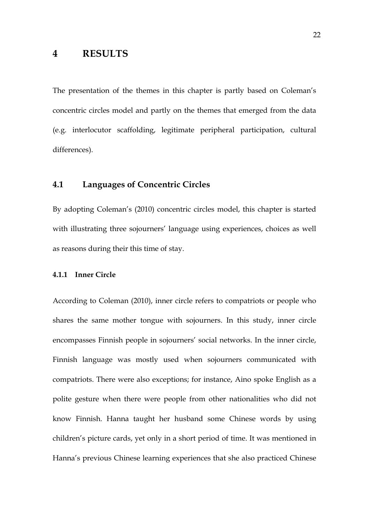## **4 RESULTS**

The presentation of the themes in this chapter is partly based on Coleman's concentric circles model and partly on the themes that emerged from the data (e.g. interlocutor scaffolding, legitimate peripheral participation, cultural differences).

## **4.1 Languages of Concentric Circles**

By adopting Coleman's (2010) concentric circles model, this chapter is started with illustrating three sojourners' language using experiences, choices as well as reasons during their this time of stay.

#### **4.1.1 Inner Circle**

According to Coleman (2010), inner circle refers to compatriots or people who shares the same mother tongue with sojourners. In this study, inner circle encompasses Finnish people in sojourners' social networks. In the inner circle, Finnish language was mostly used when sojourners communicated with compatriots. There were also exceptions; for instance, Aino spoke English as a polite gesture when there were people from other nationalities who did not know Finnish. Hanna taught her husband some Chinese words by using children's picture cards, yet only in a short period of time. It was mentioned in Hanna's previous Chinese learning experiences that she also practiced Chinese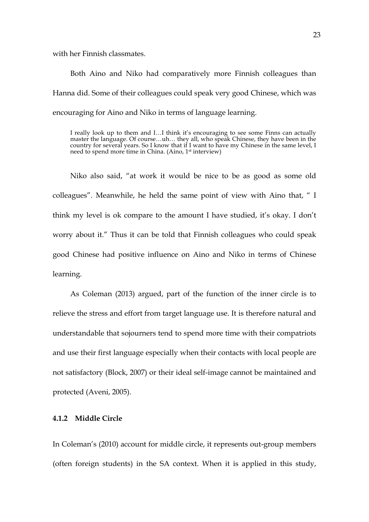with her Finnish classmates.

Both Aino and Niko had comparatively more Finnish colleagues than Hanna did. Some of their colleagues could speak very good Chinese, which was encouraging for Aino and Niko in terms of language learning.

I really look up to them and I…I think it's encouraging to see some Finns can actually master the language. Of course…uh… they all, who speak Chinese, they have been in the country for several years. So I know that if I want to have my Chinese in the same level, I need to spend more time in China. (Aino, 1st interview)

Niko also said, "at work it would be nice to be as good as some old colleagues". Meanwhile, he held the same point of view with Aino that, " I think my level is ok compare to the amount I have studied, it's okay. I don't worry about it." Thus it can be told that Finnish colleagues who could speak good Chinese had positive influence on Aino and Niko in terms of Chinese learning.

As Coleman (2013) argued, part of the function of the inner circle is to relieve the stress and effort from target language use. It is therefore natural and understandable that sojourners tend to spend more time with their compatriots and use their first language especially when their contacts with local people are not satisfactory (Block, 2007) or their ideal self-image cannot be maintained and protected (Aveni, 2005).

### **4.1.2 Middle Circle**

In Coleman's (2010) account for middle circle, it represents out-group members (often foreign students) in the SA context. When it is applied in this study,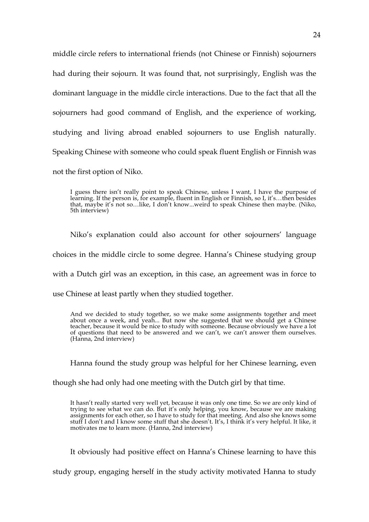middle circle refers to international friends (not Chinese or Finnish) sojourners had during their sojourn. It was found that, not surprisingly, English was the dominant language in the middle circle interactions. Due to the fact that all the sojourners had good command of English, and the experience of working, studying and living abroad enabled sojourners to use English naturally. Speaking Chinese with someone who could speak fluent English or Finnish was not the first option of Niko.

I guess there isn't really point to speak Chinese, unless I want, I have the purpose of learning. If the person is, for example, fluent in English or Finnish, so I, it's…then besides that, maybe it's not so…like, I don't know...weird to speak Chinese then maybe. (Niko, 5th interview)

Niko's explanation could also account for other sojourners' language

choices in the middle circle to some degree. Hanna's Chinese studying group

with a Dutch girl was an exception, in this case, an agreement was in force to

use Chinese at least partly when they studied together.

And we decided to study together, so we make some assignments together and meet about once a week, and yeah... But now she suggested that we should get a Chinese teacher, because it would be nice to study with someone. Because obviously we have a lot of questions that need to be answered and we can't, we can't answer them ourselves. (Hanna, 2nd interview)

Hanna found the study group was helpful for her Chinese learning, even

though she had only had one meeting with the Dutch girl by that time.

It hasn't really started very well yet, because it was only one time. So we are only kind of trying to see what we can do. But it's only helping, you know, because we are making assignments for each other, so I have to study for that meeting. And also she knows some stuff I don't and I know some stuff that she doesn't. It's, I think it's very helpful. It like, it motivates me to learn more. (Hanna, 2nd interview)

It obviously had positive effect on Hanna's Chinese learning to have this

study group, engaging herself in the study activity motivated Hanna to study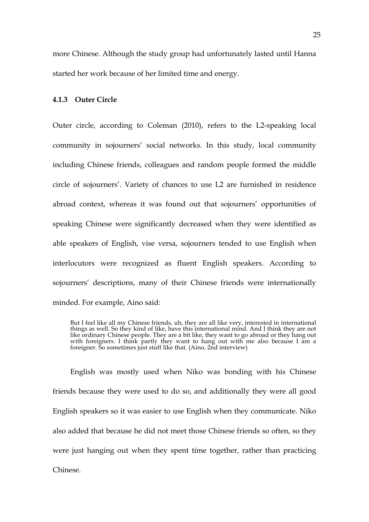more Chinese. Although the study group had unfortunately lasted until Hanna started her work because of her limited time and energy.

## **4.1.3 Outer Circle**

Outer circle, according to Coleman (2010), refers to the L2-speaking local community in sojourners' social networks. In this study, local community including Chinese friends, colleagues and random people formed the middle circle of sojourners'. Variety of chances to use L2 are furnished in residence abroad context, whereas it was found out that sojourners' opportunities of speaking Chinese were significantly decreased when they were identified as able speakers of English, vise versa, sojourners tended to use English when interlocutors were recognized as fluent English speakers. According to sojourners' descriptions, many of their Chinese friends were internationally minded. For example, Aino said:

English was mostly used when Niko was bonding with his Chinese friends because they were used to do so, and additionally they were all good English speakers so it was easier to use English when they communicate. Niko also added that because he did not meet those Chinese friends so often, so they were just hanging out when they spent time together, rather than practicing Chinese.

But I feel like all my Chinese friends, uh, they are all like very, interested in international things as well. So they kind of like, have this international mind. And I think they are not like ordinary Chinese people. They are a bit like, they want to go abroad or they hang out with foreigners. I think partly they want to hang out with me also because I am a foreigner. So sometimes just stuff like that. (Aino, 2nd interview)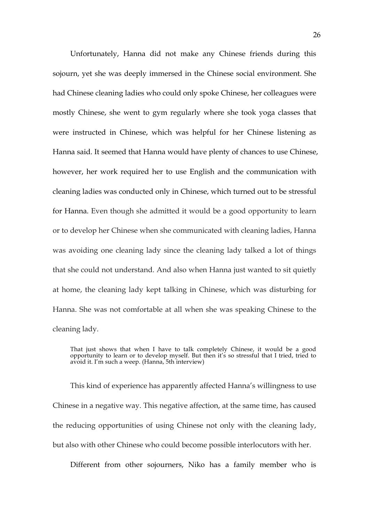Unfortunately, Hanna did not make any Chinese friends during this sojourn, yet she was deeply immersed in the Chinese social environment. She had Chinese cleaning ladies who could only spoke Chinese, her colleagues were mostly Chinese, she went to gym regularly where she took yoga classes that were instructed in Chinese, which was helpful for her Chinese listening as Hanna said. It seemed that Hanna would have plenty of chances to use Chinese, however, her work required her to use English and the communication with cleaning ladies was conducted only in Chinese, which turned out to be stressful for Hanna. Even though she admitted it would be a good opportunity to learn or to develop her Chinese when she communicated with cleaning ladies, Hanna was avoiding one cleaning lady since the cleaning lady talked a lot of things that she could not understand. And also when Hanna just wanted to sit quietly at home, the cleaning lady kept talking in Chinese, which was disturbing for Hanna. She was not comfortable at all when she was speaking Chinese to the cleaning lady.

That just shows that when I have to talk completely Chinese, it would be a good opportunity to learn or to develop myself. But then it's so stressful that I tried, tried to avoid it. I'm such a weep. (Hanna, 5th interview)

This kind of experience has apparently affected Hanna's willingness to use Chinese in a negative way. This negative affection, at the same time, has caused the reducing opportunities of using Chinese not only with the cleaning lady, but also with other Chinese who could become possible interlocutors with her.

Different from other sojourners, Niko has a family member who is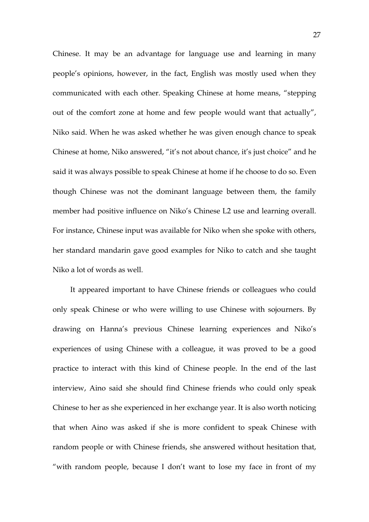Chinese. It may be an advantage for language use and learning in many people's opinions, however, in the fact, English was mostly used when they communicated with each other. Speaking Chinese at home means, "stepping out of the comfort zone at home and few people would want that actually", Niko said. When he was asked whether he was given enough chance to speak Chinese at home, Niko answered, "it's not about chance, it's just choice" and he said it was always possible to speak Chinese at home if he choose to do so. Even though Chinese was not the dominant language between them, the family member had positive influence on Niko's Chinese L2 use and learning overall. For instance, Chinese input was available for Niko when she spoke with others, her standard mandarin gave good examples for Niko to catch and she taught Niko a lot of words as well.

It appeared important to have Chinese friends or colleagues who could only speak Chinese or who were willing to use Chinese with sojourners. By drawing on Hanna's previous Chinese learning experiences and Niko's experiences of using Chinese with a colleague, it was proved to be a good practice to interact with this kind of Chinese people. In the end of the last interview, Aino said she should find Chinese friends who could only speak Chinese to her as she experienced in her exchange year. It is also worth noticing that when Aino was asked if she is more confident to speak Chinese with random people or with Chinese friends, she answered without hesitation that, "with random people, because I don't want to lose my face in front of my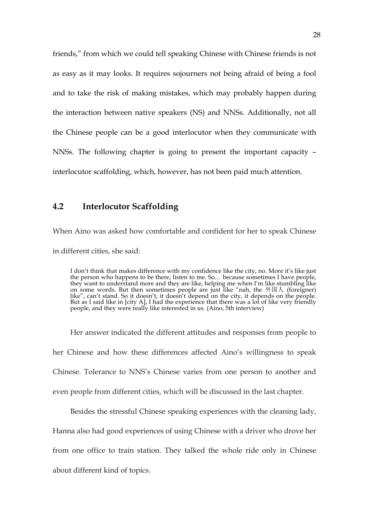friends," from which we could tell speaking Chinese with Chinese friends is not as easy as it may looks. It requires sojourners not being afraid of being a fool and to take the risk of making mistakes, which may probably happen during the interaction between native speakers (NS) and NNSs. Additionally, not all the Chinese people can be a good interlocutor when they communicate with NNSs. The following chapter is going to present the important capacity – interlocutor scaffolding, which, however, has not been paid much attention.

## **4.2 Interlocutor Scaffolding**

When Aino was asked how comfortable and confident for her to speak Chinese in different cities, she said:

I don't think that makes difference with my confidence like the city, no. More it's like just the person who happens to be there, listen to me. So… because sometimes I have people, they want to understand more and they are like, helping me when I'm like stumbling like on some words. But then sometimes people are just like "nah, the 外国人 (foreigner) like", can't stand. So it doesn't, it doesn't depend on the city, it depends on the people. But as I said like in [city A], I had the experience that there was a lot of like very friendly people, and they were really like interested in us. (Aino, 5th interview)

Her answer indicated the different attitudes and responses from people to her Chinese and how these differences affected Aino's willingness to speak Chinese. Tolerance to NNS's Chinese varies from one person to another and even people from different cities, which will be discussed in the last chapter.

Besides the stressful Chinese speaking experiences with the cleaning lady,

Hanna also had good experiences of using Chinese with a driver who drove her

from one office to train station. They talked the whole ride only in Chinese

about different kind of topics.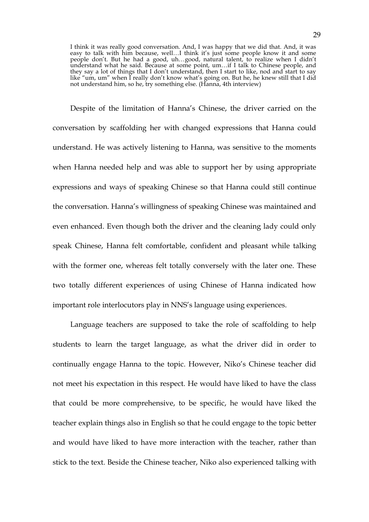I think it was really good conversation. And, I was happy that we did that. And, it was easy to talk with him because, well…I think it's just some people know it and some people don't. But he had a good, uh…good, natural talent, to realize when I didn't understand what he said. Because at some point, um…if I talk to Chinese people, and they say a lot of things that I don't understand, then I start to like, nod and start to say like "um, um" when I really don't know what's going on. But he, he knew still that I did not understand him, so he, try something else. (Hanna, 4th interview)

Despite of the limitation of Hanna's Chinese, the driver carried on the conversation by scaffolding her with changed expressions that Hanna could understand. He was actively listening to Hanna, was sensitive to the moments when Hanna needed help and was able to support her by using appropriate expressions and ways of speaking Chinese so that Hanna could still continue the conversation. Hanna's willingness of speaking Chinese was maintained and even enhanced. Even though both the driver and the cleaning lady could only speak Chinese, Hanna felt comfortable, confident and pleasant while talking with the former one, whereas felt totally conversely with the later one. These two totally different experiences of using Chinese of Hanna indicated how important role interlocutors play in NNS's language using experiences.

Language teachers are supposed to take the role of scaffolding to help students to learn the target language, as what the driver did in order to continually engage Hanna to the topic. However, Niko's Chinese teacher did not meet his expectation in this respect. He would have liked to have the class that could be more comprehensive, to be specific, he would have liked the teacher explain things also in English so that he could engage to the topic better and would have liked to have more interaction with the teacher, rather than stick to the text. Beside the Chinese teacher, Niko also experienced talking with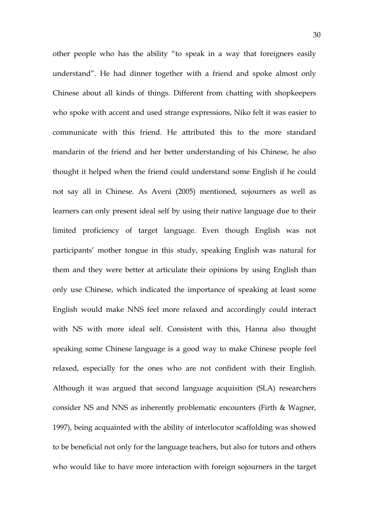other people who has the ability "to speak in a way that foreigners easily understand". He had dinner together with a friend and spoke almost only Chinese about all kinds of things. Different from chatting with shopkeepers who spoke with accent and used strange expressions, Niko felt it was easier to communicate with this friend. He attributed this to the more standard mandarin of the friend and her better understanding of his Chinese, he also thought it helped when the friend could understand some English if he could not say all in Chinese. As Aveni (2005) mentioned, sojourners as well as learners can only present ideal self by using their native language due to their limited proficiency of target language. Even though English was not participants' mother tongue in this study, speaking English was natural for them and they were better at articulate their opinions by using English than only use Chinese, which indicated the importance of speaking at least some English would make NNS feel more relaxed and accordingly could interact with NS with more ideal self. Consistent with this, Hanna also thought speaking some Chinese language is a good way to make Chinese people feel relaxed, especially for the ones who are not confident with their English. Although it was argued that second language acquisition (SLA) researchers consider NS and NNS as inherently problematic encounters (Firth & Wagner, 1997), being acquainted with the ability of interlocutor scaffolding was showed to be beneficial not only for the language teachers, but also for tutors and others who would like to have more interaction with foreign sojourners in the target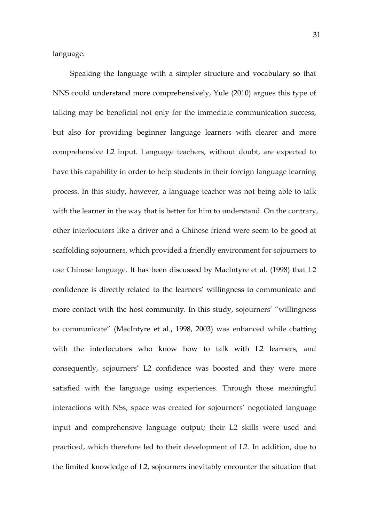language.

Speaking the language with a simpler structure and vocabulary so that NNS could understand more comprehensively, Yule (2010) argues this type of talking may be beneficial not only for the immediate communication success, but also for providing beginner language learners with clearer and more comprehensive L2 input. Language teachers, without doubt, are expected to have this capability in order to help students in their foreign language learning process. In this study, however, a language teacher was not being able to talk with the learner in the way that is better for him to understand. On the contrary, other interlocutors like a driver and a Chinese friend were seem to be good at scaffolding sojourners, which provided a friendly environment for sojourners to use Chinese language. It has been discussed by MacIntyre et al. (1998) that L2 confidence is directly related to the learners' willingness to communicate and more contact with the host community. In this study, sojourners' "willingness to communicate" (MacIntyre et al., 1998, 2003) was enhanced while chatting with the interlocutors who know how to talk with L2 learners, and consequently, sojourners' L2 confidence was boosted and they were more satisfied with the language using experiences. Through those meaningful interactions with NSs, space was created for sojourners' negotiated language input and comprehensive language output; their L2 skills were used and practiced, which therefore led to their development of L2. In addition, due to the limited knowledge of L2, sojourners inevitably encounter the situation that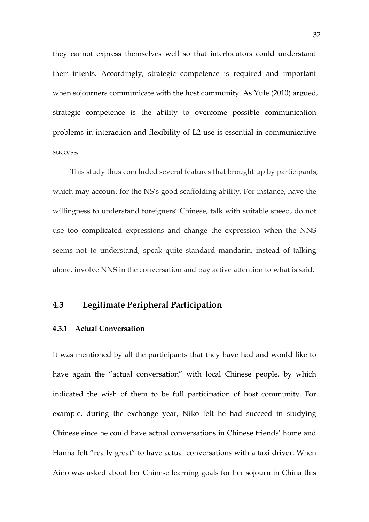they cannot express themselves well so that interlocutors could understand their intents. Accordingly, strategic competence is required and important when sojourners communicate with the host community. As Yule (2010) argued, strategic competence is the ability to overcome possible communication problems in interaction and flexibility of L2 use is essential in communicative success.

This study thus concluded several features that brought up by participants, which may account for the NS's good scaffolding ability. For instance, have the willingness to understand foreigners' Chinese, talk with suitable speed, do not use too complicated expressions and change the expression when the NNS seems not to understand, speak quite standard mandarin, instead of talking alone, involve NNS in the conversation and pay active attention to what is said.

## **4.3 Legitimate Peripheral Participation**

#### **4.3.1 Actual Conversation**

It was mentioned by all the participants that they have had and would like to have again the "actual conversation" with local Chinese people, by which indicated the wish of them to be full participation of host community. For example, during the exchange year, Niko felt he had succeed in studying Chinese since he could have actual conversations in Chinese friends' home and Hanna felt "really great" to have actual conversations with a taxi driver. When Aino was asked about her Chinese learning goals for her sojourn in China this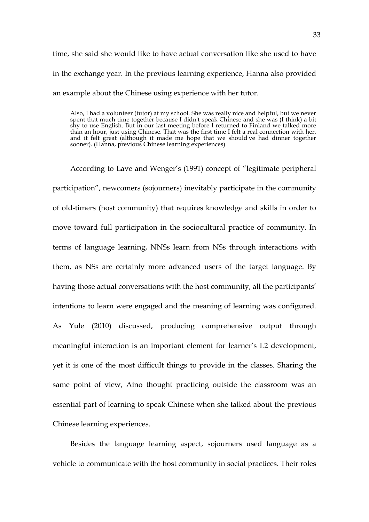time, she said she would like to have actual conversation like she used to have in the exchange year. In the previous learning experience, Hanna also provided an example about the Chinese using experience with her tutor.

Also, I had a volunteer (tutor) at my school. She was really nice and helpful, but we never spent that much time together because I didn't speak Chinese and she was (I think) a bit shy to use English. But in our last meeting before I returned to Finland we talked more than an hour, just using Chinese. That was the first time I felt a real connection with her, and it felt great (although it made me hope that we should've had dinner together sooner). (Hanna, previous Chinese learning experiences)

According to Lave and Wenger's (1991) concept of "legitimate peripheral participation", newcomers (sojourners) inevitably participate in the community of old-timers (host community) that requires knowledge and skills in order to move toward full participation in the sociocultural practice of community. In terms of language learning, NNSs learn from NSs through interactions with them, as NSs are certainly more advanced users of the target language. By having those actual conversations with the host community, all the participants' intentions to learn were engaged and the meaning of learning was configured. As Yule (2010) discussed, producing comprehensive output through meaningful interaction is an important element for learner's L2 development, yet it is one of the most difficult things to provide in the classes. Sharing the same point of view, Aino thought practicing outside the classroom was an essential part of learning to speak Chinese when she talked about the previous Chinese learning experiences.

Besides the language learning aspect, sojourners used language as a vehicle to communicate with the host community in social practices. Their roles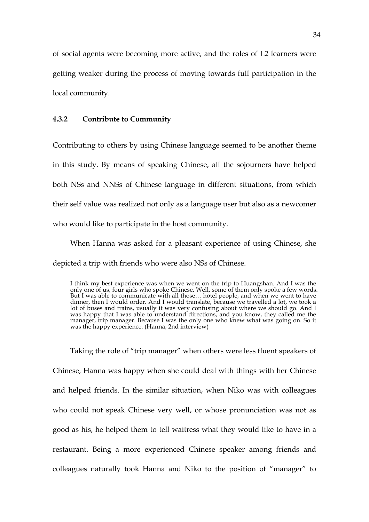of social agents were becoming more active, and the roles of L2 learners were getting weaker during the process of moving towards full participation in the local community.

#### **4.3.2 Contribute to Community**

Contributing to others by using Chinese language seemed to be another theme in this study. By means of speaking Chinese, all the sojourners have helped both NSs and NNSs of Chinese language in different situations, from which their self value was realized not only as a language user but also as a newcomer who would like to participate in the host community.

When Hanna was asked for a pleasant experience of using Chinese, she depicted a trip with friends who were also NSs of Chinese.

Taking the role of "trip manager" when others were less fluent speakers of Chinese, Hanna was happy when she could deal with things with her Chinese and helped friends. In the similar situation, when Niko was with colleagues who could not speak Chinese very well, or whose pronunciation was not as good as his, he helped them to tell waitress what they would like to have in a restaurant. Being a more experienced Chinese speaker among friends and colleagues naturally took Hanna and Niko to the position of "manager" to

I think my best experience was when we went on the trip to Huangshan. And I was the only one of us, four girls who spoke Chinese. Well, some of them only spoke a few words. But I was able to communicate with all those… hotel people, and when we went to have dinner, then I would order. And I would translate, because we travelled a lot, we took a lot of buses and trains, usually it was very confusing about where we should go. And I was happy that I was able to understand directions, and you know, they called me the manager, trip manager. Because I was the only one who knew what was going on. So it was the happy experience. (Hanna, 2nd interview)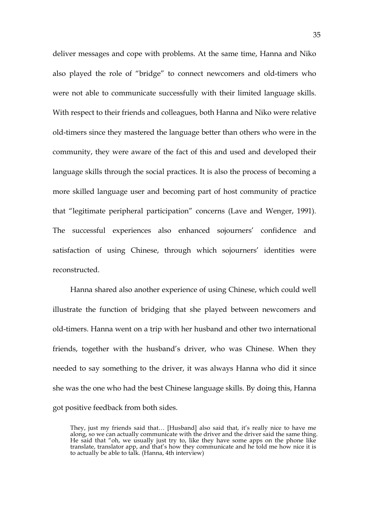deliver messages and cope with problems. At the same time, Hanna and Niko also played the role of "bridge" to connect newcomers and old-timers who were not able to communicate successfully with their limited language skills. With respect to their friends and colleagues, both Hanna and Niko were relative old-timers since they mastered the language better than others who were in the community, they were aware of the fact of this and used and developed their language skills through the social practices. It is also the process of becoming a more skilled language user and becoming part of host community of practice that "legitimate peripheral participation" concerns (Lave and Wenger, 1991). The successful experiences also enhanced sojourners' confidence and satisfaction of using Chinese, through which sojourners' identities were reconstructed.

Hanna shared also another experience of using Chinese, which could well illustrate the function of bridging that she played between newcomers and old-timers. Hanna went on a trip with her husband and other two international friends, together with the husband's driver, who was Chinese. When they needed to say something to the driver, it was always Hanna who did it since she was the one who had the best Chinese language skills. By doing this, Hanna got positive feedback from both sides.

They, just my friends said that… [Husband] also said that, it's really nice to have me along, so we can actually communicate with the driver and the driver said the same thing. He said that "oh, we usually just try to, like they have some apps on the phone like translate, translator app, and that's how they communicate and he told me how nice it is to actually be able to talk. (Hanna, 4th interview)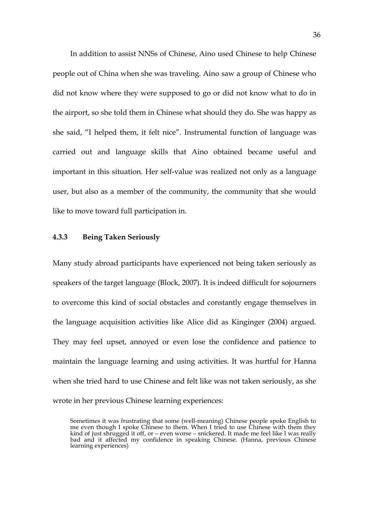In addition to assist NNSs of Chinese, Aino used Chinese to help Chinese people out of China when she was traveling. Aino saw a group of Chinese who did not know where they were supposed to go or did not know what to do in the airport, so she told them in Chinese what should they do. She was happy as she said, "I helped them, it felt nice". Instrumental function of language was carried out and language skills that Aino obtained became useful and important in this situation. Her self-value was realized not only as a language user, but also as a member of the community, the community that she would like to move toward full participation in.

#### **4.3.3 Being Taken Seriously**

Many study abroad participants have experienced not being taken seriously as speakers of the target language (Block, 2007). It is indeed difficult for sojourners to overcome this kind of social obstacles and constantly engage themselves in the language acquisition activities like Alice did as Kinginger (2004) argued. They may feel upset, annoyed or even lose the confidence and patience to maintain the language learning and using activities. It was hurtful for Hanna when she tried hard to use Chinese and felt like was not taken seriously, as she wrote in her previous Chinese learning experiences:

Sometimes it was frustrating that some (well-meaning) Chinese people spoke English to me even though I spoke Chinese to them. When I tried to use Chinese with them they kind of just shrugged it off, or – even worse – snickered. It made me feel like I was really bad and it affected my confidence in speaking Chinese. (Hanna, previous Chinese learning experiences)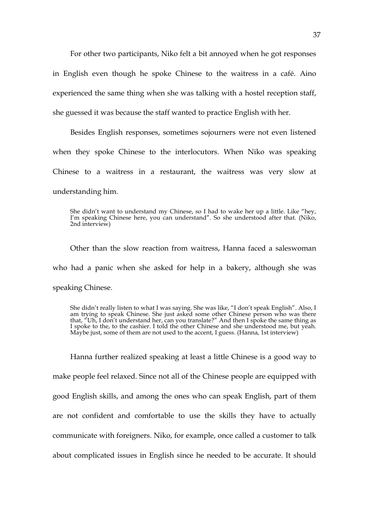For other two participants, Niko felt a bit annoyed when he got responses in English even though he spoke Chinese to the waitress in a café. Aino experienced the same thing when she was talking with a hostel reception staff, she guessed it was because the staff wanted to practice English with her.

Besides English responses, sometimes sojourners were not even listened when they spoke Chinese to the interlocutors. When Niko was speaking Chinese to a waitress in a restaurant, the waitress was very slow at understanding him.

She didn't want to understand my Chinese, so I had to wake her up a little. Like "hey, I'm speaking Chinese here, you can understand". So she understood after that. (Niko, 2nd interview)

Other than the slow reaction from waitress, Hanna faced a saleswoman who had a panic when she asked for help in a bakery, although she was speaking Chinese.

She didn't really listen to what I was saying. She was like, "I don't speak English". Also, I am trying to speak Chinese. She just asked some other Chinese person who was there that, "Uh, I don't understand her, can you translate?" And then I spoke the same thing as I spoke to the, to the cashier. I told the other Chinese and she understood me, but yeah. Maybe just, some of them are not used to the accent, I guess. (Hanna, 1st interview)

Hanna further realized speaking at least a little Chinese is a good way to make people feel relaxed. Since not all of the Chinese people are equipped with good English skills, and among the ones who can speak English, part of them are not confident and comfortable to use the skills they have to actually communicate with foreigners. Niko, for example, once called a customer to talk about complicated issues in English since he needed to be accurate. It should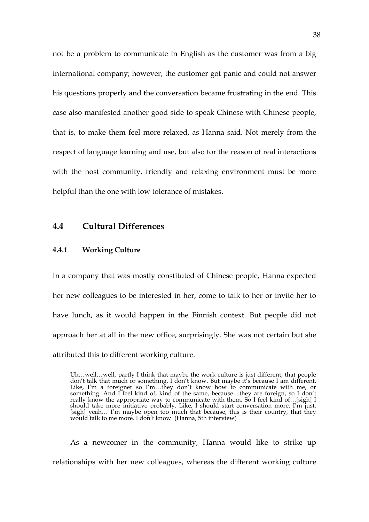not be a problem to communicate in English as the customer was from a big international company; however, the customer got panic and could not answer his questions properly and the conversation became frustrating in the end. This case also manifested another good side to speak Chinese with Chinese people, that is, to make them feel more relaxed, as Hanna said. Not merely from the respect of language learning and use, but also for the reason of real interactions with the host community, friendly and relaxing environment must be more helpful than the one with low tolerance of mistakes.

#### **4.4 Cultural Differences**

## **4.4.1 Working Culture**

In a company that was mostly constituted of Chinese people, Hanna expected her new colleagues to be interested in her, come to talk to her or invite her to have lunch, as it would happen in the Finnish context. But people did not approach her at all in the new office, surprisingly. She was not certain but she attributed this to different working culture.

As a newcomer in the community, Hanna would like to strike up relationships with her new colleagues, whereas the different working culture

Uh…well…well, partly I think that maybe the work culture is just different, that people don't talk that much or something, I don't know. But maybe it's because I am different. Like, I'm a foreigner so I'm…they don't know how to communicate with me, or something. And I feel kind of, kind of the same, because…they are foreign, so I don't really know the appropriate way to communicate with them. So I feel kind of…[sigh] I should take more initiative probably. Like, I should start conversation more. I'm just, [sigh] yeah… I'm maybe open too much that because, this is their country, that they would talk to me more. I don't know. (Hanna, 5th interview)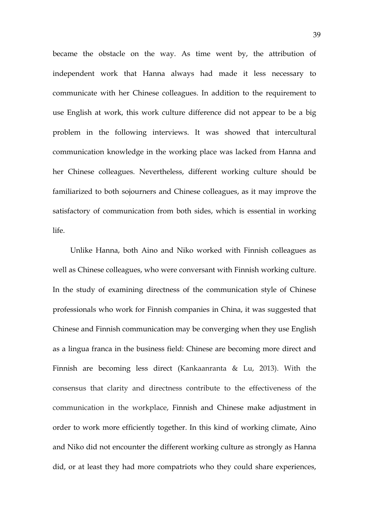became the obstacle on the way. As time went by, the attribution of independent work that Hanna always had made it less necessary to communicate with her Chinese colleagues. In addition to the requirement to use English at work, this work culture difference did not appear to be a big problem in the following interviews. It was showed that intercultural communication knowledge in the working place was lacked from Hanna and her Chinese colleagues. Nevertheless, different working culture should be familiarized to both sojourners and Chinese colleagues, as it may improve the satisfactory of communication from both sides, which is essential in working life.

Unlike Hanna, both Aino and Niko worked with Finnish colleagues as well as Chinese colleagues, who were conversant with Finnish working culture. In the study of examining directness of the communication style of Chinese professionals who work for Finnish companies in China, it was suggested that Chinese and Finnish communication may be converging when they use English as a lingua franca in the business field: Chinese are becoming more direct and Finnish are becoming less direct (Kankaanranta & Lu, 2013). With the consensus that clarity and directness contribute to the effectiveness of the communication in the workplace, Finnish and Chinese make adjustment in order to work more efficiently together. In this kind of working climate, Aino and Niko did not encounter the different working culture as strongly as Hanna did, or at least they had more compatriots who they could share experiences,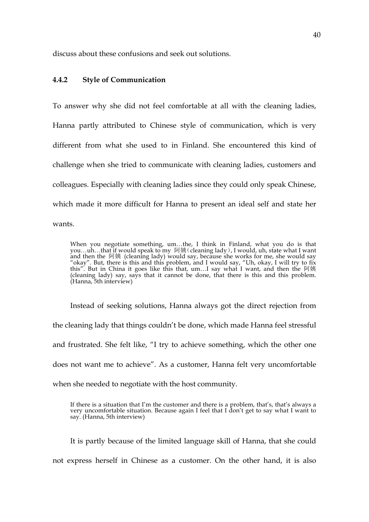discuss about these confusions and seek out solutions.

## **4.4.2 Style of Communication**

To answer why she did not feel comfortable at all with the cleaning ladies, Hanna partly attributed to Chinese style of communication, which is very different from what she used to in Finland. She encountered this kind of challenge when she tried to communicate with cleaning ladies, customers and colleagues. Especially with cleaning ladies since they could only speak Chinese, which made it more difficult for Hanna to present an ideal self and state her wants.

When you negotiate something, um…the, I think in Finland, what you do is that you…uh…that if would speak to my 阿姨(cleaning lady), I would, uh, state what I want and then the 阿姨 (cleaning lady) would say, because she works for me, she would say "okay". But, there is this and this problem, and I would say, "Uh, okay, I will try to fix this". But in China it goes like this that, um…I say what I want, and then the 阿姨 (cleaning lady) say, says that it cannot be done, that there is this and this problem. (Hanna, 5th interview)

Instead of seeking solutions, Hanna always got the direct rejection from the cleaning lady that things couldn't be done, which made Hanna feel stressful and frustrated. She felt like, "I try to achieve something, which the other one does not want me to achieve". As a customer, Hanna felt very uncomfortable when she needed to negotiate with the host community.

If there is a situation that I'm the customer and there is a problem, that's, that's always a very uncomfortable situation. Because again I feel that I don't get to say what I want to say. (Hanna, 5th interview)

It is partly because of the limited language skill of Hanna, that she could

not express herself in Chinese as a customer. On the other hand, it is also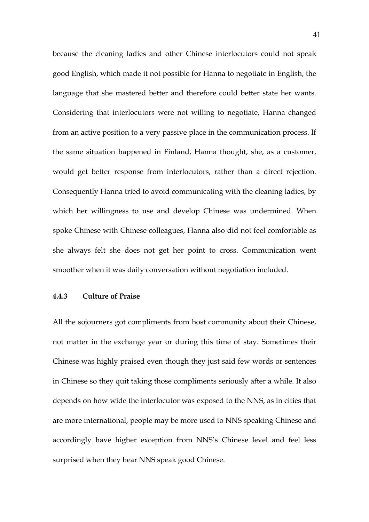because the cleaning ladies and other Chinese interlocutors could not speak good English, which made it not possible for Hanna to negotiate in English, the language that she mastered better and therefore could better state her wants. Considering that interlocutors were not willing to negotiate, Hanna changed from an active position to a very passive place in the communication process. If the same situation happened in Finland, Hanna thought, she, as a customer, would get better response from interlocutors, rather than a direct rejection. Consequently Hanna tried to avoid communicating with the cleaning ladies, by which her willingness to use and develop Chinese was undermined. When spoke Chinese with Chinese colleagues, Hanna also did not feel comfortable as she always felt she does not get her point to cross. Communication went smoother when it was daily conversation without negotiation included.

#### **4.4.3 Culture of Praise**

All the sojourners got compliments from host community about their Chinese, not matter in the exchange year or during this time of stay. Sometimes their Chinese was highly praised even though they just said few words or sentences in Chinese so they quit taking those compliments seriously after a while. It also depends on how wide the interlocutor was exposed to the NNS, as in cities that are more international, people may be more used to NNS speaking Chinese and accordingly have higher exception from NNS's Chinese level and feel less surprised when they hear NNS speak good Chinese.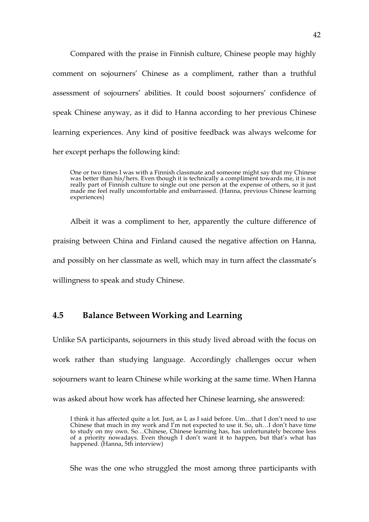Compared with the praise in Finnish culture, Chinese people may highly comment on sojourners' Chinese as a compliment, rather than a truthful assessment of sojourners' abilities. It could boost sojourners' confidence of speak Chinese anyway, as it did to Hanna according to her previous Chinese learning experiences. Any kind of positive feedback was always welcome for her except perhaps the following kind:

One or two times I was with a Finnish classmate and someone might say that my Chinese was better than his/hers. Even though it is technically a compliment towards me, it is not really part of Finnish culture to single out one person at the expense of others, so it just made me feel really uncomfortable and embarrassed. (Hanna, previous Chinese learning experiences)

Albeit it was a compliment to her, apparently the culture difference of praising between China and Finland caused the negative affection on Hanna, and possibly on her classmate as well, which may in turn affect the classmate's willingness to speak and study Chinese.

## **4.5 Balance Between Working and Learning**

Unlike SA participants, sojourners in this study lived abroad with the focus on work rather than studying language. Accordingly challenges occur when sojourners want to learn Chinese while working at the same time. When Hanna was asked about how work has affected her Chinese learning, she answered:

She was the one who struggled the most among three participants with

I think it has affected quite a lot. Just, as I, as I said before. Um…that I don't need to use Chinese that much in my work and I'm not expected to use it. So, uh…I don't have time to study on my own. So…Chinese, Chinese learning has, has unfortunately become less of a priority nowadays. Even though I don't want it to happen, but that's what has happened. (Hanna, 5th interview)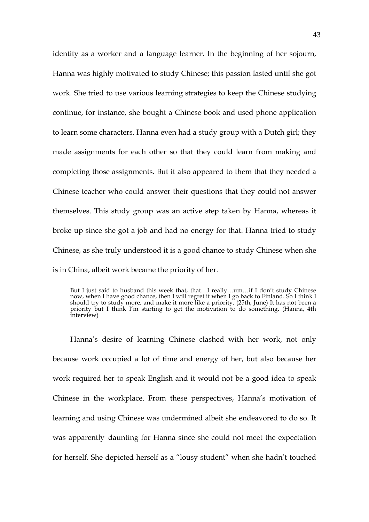identity as a worker and a language learner. In the beginning of her sojourn, Hanna was highly motivated to study Chinese; this passion lasted until she got work. She tried to use various learning strategies to keep the Chinese studying continue, for instance, she bought a Chinese book and used phone application to learn some characters. Hanna even had a study group with a Dutch girl; they made assignments for each other so that they could learn from making and completing those assignments. But it also appeared to them that they needed a Chinese teacher who could answer their questions that they could not answer themselves. This study group was an active step taken by Hanna, whereas it broke up since she got a job and had no energy for that. Hanna tried to study Chinese, as she truly understood it is a good chance to study Chinese when she is in China, albeit work became the priority of her.

But I just said to husband this week that, that…I really…um…if I don't study Chinese now, when I have good chance, then I will regret it when I go back to Finland. So I think I should try to study more, and make it more like a priority. (25th, June) It has not been a priority but I think I'm starting to get the motivation to do something. (Hanna, 4th interview)

Hanna's desire of learning Chinese clashed with her work, not only because work occupied a lot of time and energy of her, but also because her work required her to speak English and it would not be a good idea to speak Chinese in the workplace. From these perspectives, Hanna's motivation of learning and using Chinese was undermined albeit she endeavored to do so. It was apparently daunting for Hanna since she could not meet the expectation for herself. She depicted herself as a "lousy student" when she hadn't touched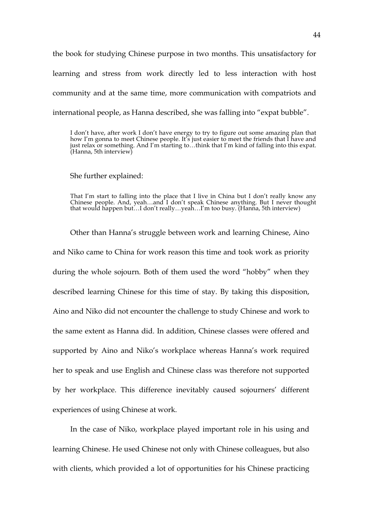the book for studying Chinese purpose in two months. This unsatisfactory for learning and stress from work directly led to less interaction with host community and at the same time, more communication with compatriots and international people, as Hanna described, she was falling into "expat bubble".

I don't have, after work I don't have energy to try to figure out some amazing plan that how I'm gonna to meet Chinese people. It's just easier to meet the friends that I have and just relax or something. And I'm starting to…think that I'm kind of falling into this expat. (Hanna, 5th interview)

She further explained:

That I'm start to falling into the place that I live in China but I don't really know any Chinese people. And, yeah...and I don't speak Chinese anything. But I never thought that would happen but…I don't really…yeah…I'm too busy. (Hanna, 5th interview)

Other than Hanna's struggle between work and learning Chinese, Aino and Niko came to China for work reason this time and took work as priority during the whole sojourn. Both of them used the word "hobby" when they described learning Chinese for this time of stay. By taking this disposition, Aino and Niko did not encounter the challenge to study Chinese and work to the same extent as Hanna did. In addition, Chinese classes were offered and supported by Aino and Niko's workplace whereas Hanna's work required her to speak and use English and Chinese class was therefore not supported by her workplace. This difference inevitably caused sojourners' different experiences of using Chinese at work.

In the case of Niko, workplace played important role in his using and learning Chinese. He used Chinese not only with Chinese colleagues, but also with clients, which provided a lot of opportunities for his Chinese practicing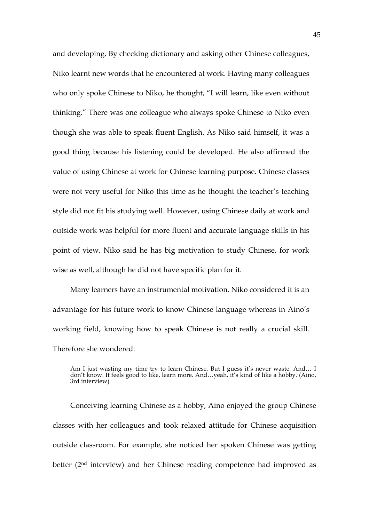and developing. By checking dictionary and asking other Chinese colleagues, Niko learnt new words that he encountered at work. Having many colleagues who only spoke Chinese to Niko, he thought, "I will learn, like even without thinking." There was one colleague who always spoke Chinese to Niko even though she was able to speak fluent English. As Niko said himself, it was a good thing because his listening could be developed. He also affirmed the value of using Chinese at work for Chinese learning purpose. Chinese classes were not very useful for Niko this time as he thought the teacher's teaching style did not fit his studying well. However, using Chinese daily at work and outside work was helpful for more fluent and accurate language skills in his point of view. Niko said he has big motivation to study Chinese, for work wise as well, although he did not have specific plan for it.

Many learners have an instrumental motivation. Niko considered it is an advantage for his future work to know Chinese language whereas in Aino's working field, knowing how to speak Chinese is not really a crucial skill. Therefore she wondered:

Conceiving learning Chinese as a hobby, Aino enjoyed the group Chinese classes with her colleagues and took relaxed attitude for Chinese acquisition outside classroom. For example, she noticed her spoken Chinese was getting better (2nd interview) and her Chinese reading competence had improved as

Am I just wasting my time try to learn Chinese. But I guess it's never waste. And… I don't know. It feels good to like, learn more. And…yeah, it's kind of like a hobby. (Aino, 3rd interview)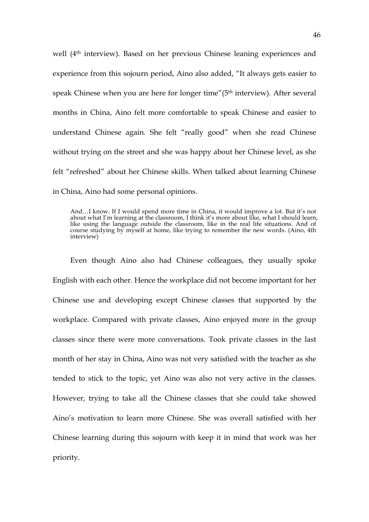well (4th interview). Based on her previous Chinese leaning experiences and experience from this sojourn period, Aino also added, "It always gets easier to speak Chinese when you are here for longer time"(5<sup>th</sup> interview). After several months in China, Aino felt more comfortable to speak Chinese and easier to understand Chinese again. She felt "really good" when she read Chinese without trying on the street and she was happy about her Chinese level, as she felt "refreshed" about her Chinese skills. When talked about learning Chinese in China, Aino had some personal opinions.

And…I know. If I would spend more time in China, it would improve a lot. But it's not about what I'm learning at the classroom, I think it's more about like, what I should learn, like using the language outside the classroom, like in the real life situations. And of course studying by myself at home, like trying to remember the new words. (Aino, 4th interview)

Even though Aino also had Chinese colleagues, they usually spoke English with each other. Hence the workplace did not become important for her Chinese use and developing except Chinese classes that supported by the workplace. Compared with private classes, Aino enjoyed more in the group classes since there were more conversations. Took private classes in the last month of her stay in China, Aino was not very satisfied with the teacher as she tended to stick to the topic, yet Aino was also not very active in the classes. However, trying to take all the Chinese classes that she could take showed Aino's motivation to learn more Chinese. She was overall satisfied with her Chinese learning during this sojourn with keep it in mind that work was her priority.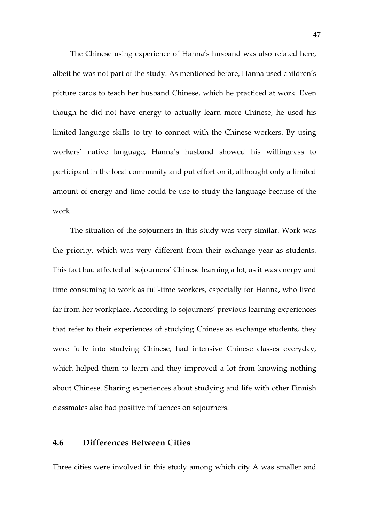The Chinese using experience of Hanna's husband was also related here, albeit he was not part of the study. As mentioned before, Hanna used children's picture cards to teach her husband Chinese, which he practiced at work. Even though he did not have energy to actually learn more Chinese, he used his limited language skills to try to connect with the Chinese workers. By using workers' native language, Hanna's husband showed his willingness to participant in the local community and put effort on it, althought only a limited amount of energy and time could be use to study the language because of the work.

The situation of the sojourners in this study was very similar. Work was the priority, which was very different from their exchange year as students. This fact had affected all sojourners' Chinese learning a lot, as it was energy and time consuming to work as full-time workers, especially for Hanna, who lived far from her workplace. According to sojourners' previous learning experiences that refer to their experiences of studying Chinese as exchange students, they were fully into studying Chinese, had intensive Chinese classes everyday, which helped them to learn and they improved a lot from knowing nothing about Chinese. Sharing experiences about studying and life with other Finnish classmates also had positive influences on sojourners.

### **4.6 Differences Between Cities**

Three cities were involved in this study among which city A was smaller and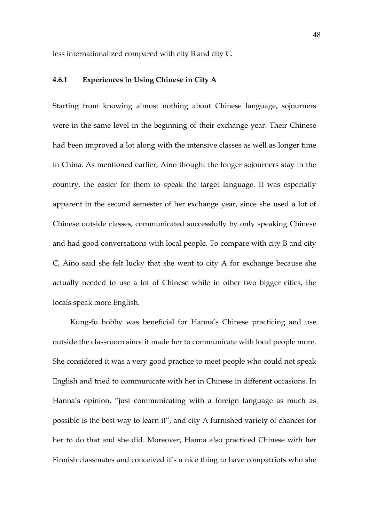less internationalized compared with city B and city C.

## **4.6.1 Experiences in Using Chinese in City A**

Starting from knowing almost nothing about Chinese language, sojourners were in the same level in the beginning of their exchange year. Their Chinese had been improved a lot along with the intensive classes as well as longer time in China. As mentioned earlier, Aino thought the longer sojourners stay in the country, the easier for them to speak the target language. It was especially apparent in the second semester of her exchange year, since she used a lot of Chinese outside classes, communicated successfully by only speaking Chinese and had good conversations with local people. To compare with city B and city C, Aino said she felt lucky that she went to city A for exchange because she actually needed to use a lot of Chinese while in other two bigger cities, the locals speak more English.

Kung-fu hobby was beneficial for Hanna's Chinese practicing and use outside the classroom since it made her to communicate with local people more. She considered it was a very good practice to meet people who could not speak English and tried to communicate with her in Chinese in different occasions. In Hanna's opinion, "just communicating with a foreign language as much as possible is the best way to learn it", and city A furnished variety of chances for her to do that and she did. Moreover, Hanna also practiced Chinese with her Finnish classmates and conceived it's a nice thing to have compatriots who she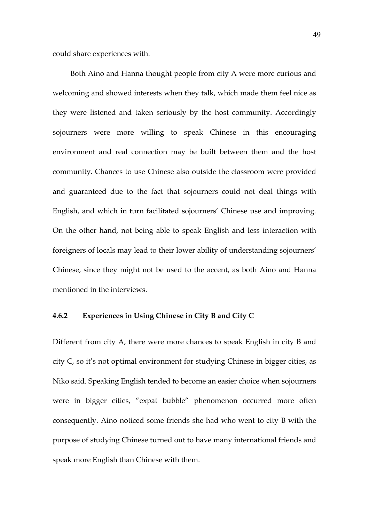could share experiences with.

Both Aino and Hanna thought people from city A were more curious and welcoming and showed interests when they talk, which made them feel nice as they were listened and taken seriously by the host community. Accordingly sojourners were more willing to speak Chinese in this encouraging environment and real connection may be built between them and the host community. Chances to use Chinese also outside the classroom were provided and guaranteed due to the fact that sojourners could not deal things with English, and which in turn facilitated sojourners' Chinese use and improving. On the other hand, not being able to speak English and less interaction with foreigners of locals may lead to their lower ability of understanding sojourners' Chinese, since they might not be used to the accent, as both Aino and Hanna mentioned in the interviews.

#### **4.6.2 Experiences in Using Chinese in City B and City C**

Different from city A, there were more chances to speak English in city B and city C, so it's not optimal environment for studying Chinese in bigger cities, as Niko said. Speaking English tended to become an easier choice when sojourners were in bigger cities, "expat bubble" phenomenon occurred more often consequently. Aino noticed some friends she had who went to city B with the purpose of studying Chinese turned out to have many international friends and speak more English than Chinese with them.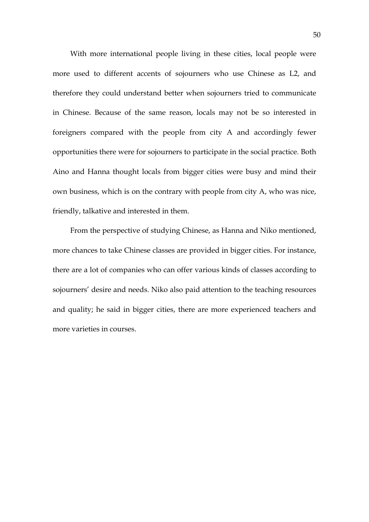With more international people living in these cities, local people were more used to different accents of sojourners who use Chinese as L2, and therefore they could understand better when sojourners tried to communicate in Chinese. Because of the same reason, locals may not be so interested in foreigners compared with the people from city A and accordingly fewer opportunities there were for sojourners to participate in the social practice. Both Aino and Hanna thought locals from bigger cities were busy and mind their own business, which is on the contrary with people from city A, who was nice, friendly, talkative and interested in them.

From the perspective of studying Chinese, as Hanna and Niko mentioned, more chances to take Chinese classes are provided in bigger cities. For instance, there are a lot of companies who can offer various kinds of classes according to sojourners' desire and needs. Niko also paid attention to the teaching resources and quality; he said in bigger cities, there are more experienced teachers and more varieties in courses.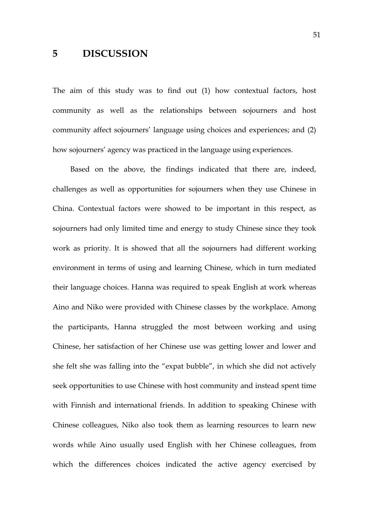## **5 DISCUSSION**

The aim of this study was to find out (1) how contextual factors, host community as well as the relationships between sojourners and host community affect sojourners' language using choices and experiences; and (2) how sojourners' agency was practiced in the language using experiences.

Based on the above, the findings indicated that there are, indeed, challenges as well as opportunities for sojourners when they use Chinese in China. Contextual factors were showed to be important in this respect, as sojourners had only limited time and energy to study Chinese since they took work as priority. It is showed that all the sojourners had different working environment in terms of using and learning Chinese, which in turn mediated their language choices. Hanna was required to speak English at work whereas Aino and Niko were provided with Chinese classes by the workplace. Among the participants, Hanna struggled the most between working and using Chinese, her satisfaction of her Chinese use was getting lower and lower and she felt she was falling into the "expat bubble", in which she did not actively seek opportunities to use Chinese with host community and instead spent time with Finnish and international friends. In addition to speaking Chinese with Chinese colleagues, Niko also took them as learning resources to learn new words while Aino usually used English with her Chinese colleagues, from which the differences choices indicated the active agency exercised by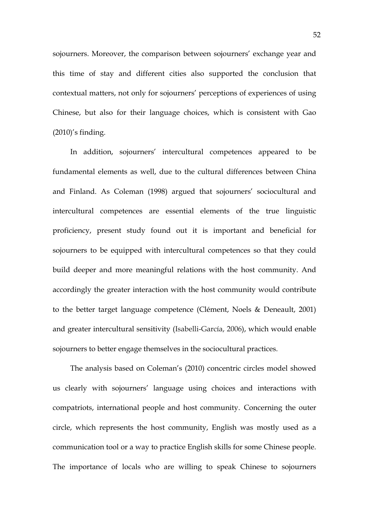sojourners. Moreover, the comparison between sojourners' exchange year and this time of stay and different cities also supported the conclusion that contextual matters, not only for sojourners' perceptions of experiences of using Chinese, but also for their language choices, which is consistent with Gao (2010)'s finding.

In addition, sojourners' intercultural competences appeared to be fundamental elements as well, due to the cultural differences between China and Finland. As Coleman (1998) argued that sojourners' sociocultural and intercultural competences are essential elements of the true linguistic proficiency, present study found out it is important and beneficial for sojourners to be equipped with intercultural competences so that they could build deeper and more meaningful relations with the host community. And accordingly the greater interaction with the host community would contribute to the better target language competence (Clément, Noels & Deneault, 2001) and greater intercultural sensitivity (Isabelli-García, 2006), which would enable sojourners to better engage themselves in the sociocultural practices.

The analysis based on Coleman's (2010) concentric circles model showed us clearly with sojourners' language using choices and interactions with compatriots, international people and host community. Concerning the outer circle, which represents the host community, English was mostly used as a communication tool or a way to practice English skills for some Chinese people. The importance of locals who are willing to speak Chinese to sojourners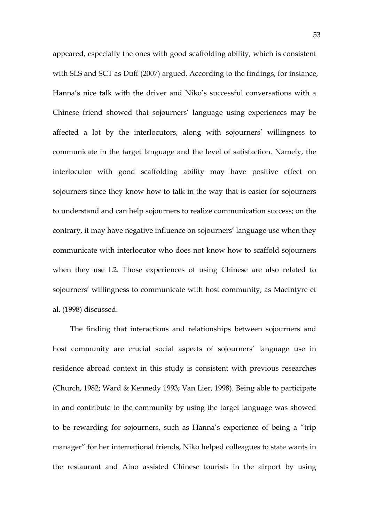appeared, especially the ones with good scaffolding ability, which is consistent with SLS and SCT as Duff (2007) argued. According to the findings, for instance, Hanna's nice talk with the driver and Niko's successful conversations with a Chinese friend showed that sojourners' language using experiences may be affected a lot by the interlocutors, along with sojourners' willingness to communicate in the target language and the level of satisfaction. Namely, the interlocutor with good scaffolding ability may have positive effect on sojourners since they know how to talk in the way that is easier for sojourners to understand and can help sojourners to realize communication success; on the contrary, it may have negative influence on sojourners' language use when they communicate with interlocutor who does not know how to scaffold sojourners when they use L2. Those experiences of using Chinese are also related to sojourners' willingness to communicate with host community, as MacIntyre et al. (1998) discussed.

The finding that interactions and relationships between sojourners and host community are crucial social aspects of sojourners' language use in residence abroad context in this study is consistent with previous researches (Church, 1982; Ward & Kennedy 1993; Van Lier, 1998). Being able to participate in and contribute to the community by using the target language was showed to be rewarding for sojourners, such as Hanna's experience of being a "trip manager" for her international friends, Niko helped colleagues to state wants in the restaurant and Aino assisted Chinese tourists in the airport by using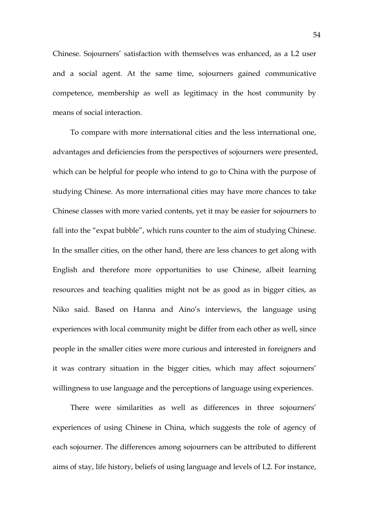Chinese. Sojourners' satisfaction with themselves was enhanced, as a L2 user and a social agent. At the same time, sojourners gained communicative competence, membership as well as legitimacy in the host community by means of social interaction.

To compare with more international cities and the less international one, advantages and deficiencies from the perspectives of sojourners were presented, which can be helpful for people who intend to go to China with the purpose of studying Chinese. As more international cities may have more chances to take Chinese classes with more varied contents, yet it may be easier for sojourners to fall into the "expat bubble", which runs counter to the aim of studying Chinese. In the smaller cities, on the other hand, there are less chances to get along with English and therefore more opportunities to use Chinese, albeit learning resources and teaching qualities might not be as good as in bigger cities, as Niko said. Based on Hanna and Aino's interviews, the language using experiences with local community might be differ from each other as well, since people in the smaller cities were more curious and interested in foreigners and it was contrary situation in the bigger cities, which may affect sojourners' willingness to use language and the perceptions of language using experiences.

There were similarities as well as differences in three sojourners' experiences of using Chinese in China, which suggests the role of agency of each sojourner. The differences among sojourners can be attributed to different aims of stay, life history, beliefs of using language and levels of L2. For instance,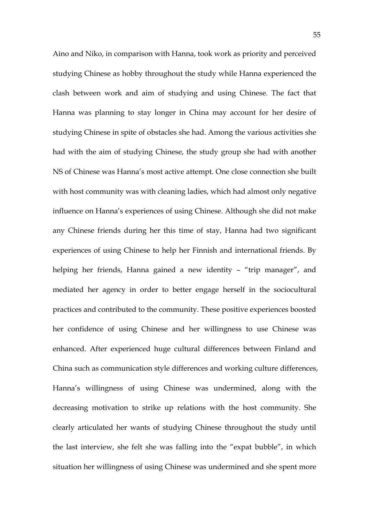Aino and Niko, in comparison with Hanna, took work as priority and perceived studying Chinese as hobby throughout the study while Hanna experienced the clash between work and aim of studying and using Chinese. The fact that Hanna was planning to stay longer in China may account for her desire of studying Chinese in spite of obstacles she had. Among the various activities she had with the aim of studying Chinese, the study group she had with another NS of Chinese was Hanna's most active attempt. One close connection she built with host community was with cleaning ladies, which had almost only negative influence on Hanna's experiences of using Chinese. Although she did not make any Chinese friends during her this time of stay, Hanna had two significant experiences of using Chinese to help her Finnish and international friends. By helping her friends, Hanna gained a new identity – "trip manager", and mediated her agency in order to better engage herself in the sociocultural practices and contributed to the community. These positive experiences boosted her confidence of using Chinese and her willingness to use Chinese was enhanced. After experienced huge cultural differences between Finland and China such as communication style differences and working culture differences, Hanna's willingness of using Chinese was undermined, along with the decreasing motivation to strike up relations with the host community. She clearly articulated her wants of studying Chinese throughout the study until the last interview, she felt she was falling into the "expat bubble", in which situation her willingness of using Chinese was undermined and she spent more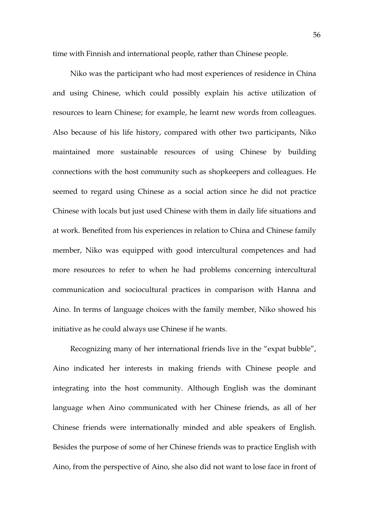time with Finnish and international people, rather than Chinese people.

Niko was the participant who had most experiences of residence in China and using Chinese, which could possibly explain his active utilization of resources to learn Chinese; for example, he learnt new words from colleagues. Also because of his life history, compared with other two participants, Niko maintained more sustainable resources of using Chinese by building connections with the host community such as shopkeepers and colleagues. He seemed to regard using Chinese as a social action since he did not practice Chinese with locals but just used Chinese with them in daily life situations and at work. Benefited from his experiences in relation to China and Chinese family member, Niko was equipped with good intercultural competences and had more resources to refer to when he had problems concerning intercultural communication and sociocultural practices in comparison with Hanna and Aino. In terms of language choices with the family member, Niko showed his initiative as he could always use Chinese if he wants.

Recognizing many of her international friends live in the "expat bubble", Aino indicated her interests in making friends with Chinese people and integrating into the host community. Although English was the dominant language when Aino communicated with her Chinese friends, as all of her Chinese friends were internationally minded and able speakers of English. Besides the purpose of some of her Chinese friends was to practice English with Aino, from the perspective of Aino, she also did not want to lose face in front of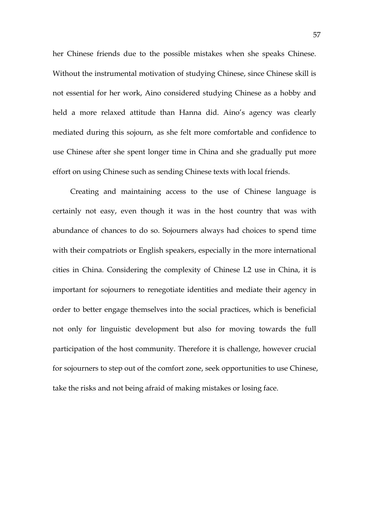her Chinese friends due to the possible mistakes when she speaks Chinese. Without the instrumental motivation of studying Chinese, since Chinese skill is not essential for her work, Aino considered studying Chinese as a hobby and held a more relaxed attitude than Hanna did. Aino's agency was clearly mediated during this sojourn, as she felt more comfortable and confidence to use Chinese after she spent longer time in China and she gradually put more effort on using Chinese such as sending Chinese texts with local friends.

Creating and maintaining access to the use of Chinese language is certainly not easy, even though it was in the host country that was with abundance of chances to do so. Sojourners always had choices to spend time with their compatriots or English speakers, especially in the more international cities in China. Considering the complexity of Chinese L2 use in China, it is important for sojourners to renegotiate identities and mediate their agency in order to better engage themselves into the social practices, which is beneficial not only for linguistic development but also for moving towards the full participation of the host community. Therefore it is challenge, however crucial for sojourners to step out of the comfort zone, seek opportunities to use Chinese, take the risks and not being afraid of making mistakes or losing face.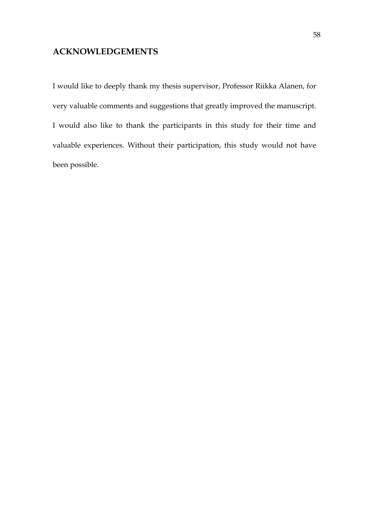## **ACKNOWLEDGEMENTS**

I would like to deeply thank my thesis supervisor, Professor Riikka Alanen, for very valuable comments and suggestions that greatly improved the manuscript. I would also like to thank the participants in this study for their time and valuable experiences. Without their participation, this study would not have been possible.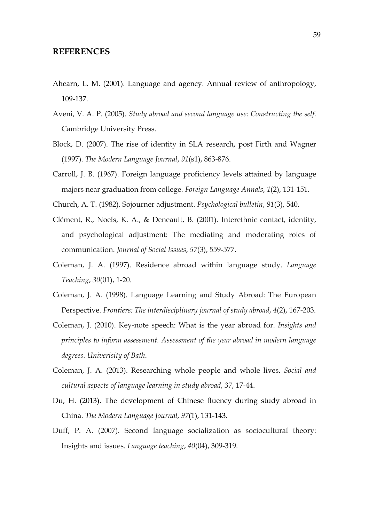## **REFERENCES**

- Ahearn, L. M. (2001). Language and agency. Annual review of anthropology, 109-137.
- Aveni, V. A. P. (2005). *Study abroad and second language use: Constructing the self*. Cambridge University Press.
- Block, D. (2007). The rise of identity in SLA research, post Firth and Wagner (1997). *The Modern Language Journal*, *91*(s1), 863-876.
- Carroll, J. B. (1967). Foreign language proficiency levels attained by language majors near graduation from college. *Foreign Language Annals*, *1*(2), 131-151.
- Church, A. T. (1982). Sojourner adjustment. *Psychological bulletin*, *91*(3), 540.
- Clément, R., Noels, K. A., & Deneault, B. (2001). Interethnic contact, identity, and psychological adjustment: The mediating and moderating roles of communication. *Journal of Social Issues*, *57*(3), 559-577.
- Coleman, J. A. (1997). Residence abroad within language study. *Language Teaching*, *30*(01), 1-20.
- Coleman, J. A. (1998). Language Learning and Study Abroad: The European Perspective. *Frontiers: The interdisciplinary journal of study abroad*, *4*(2), 167-203.
- Coleman, J. (2010). Key-note speech: What is the year abroad for. *Insights and principles to inform assessment. Assessment of the year abroad in modern language degrees. Univerisity of Bath*.
- Coleman, J. A. (2013). Researching whole people and whole lives. *Social and cultural aspects of language learning in study abroad*, *37*, 17-44.
- Du, H. (2013). The development of Chinese fluency during study abroad in China. *The Modern Language Journal, 97*(1), 131-143.
- Duff, P. A. (2007). Second language socialization as sociocultural theory: Insights and issues. *Language teaching*, *40*(04), 309-319.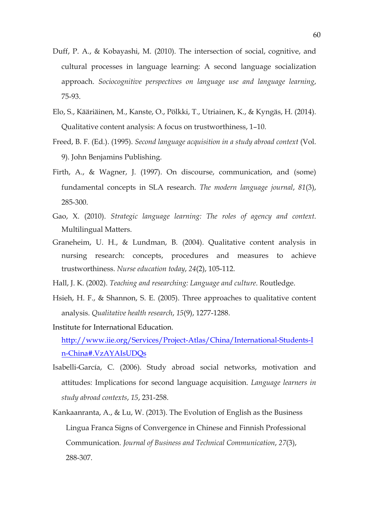- Duff, P. A., & Kobayashi, M. (2010). The intersection of social, cognitive, and cultural processes in language learning: A second language socialization approach. *Sociocognitive perspectives on language use and language learning*, 75-93.
- Elo, S., Kääriäinen, M., Kanste, O., Pölkki, T., Utriainen, K., & Kyngäs, H. (2014). Qualitative content analysis: A focus on trustworthiness, 1–10.
- Freed, B. F. (Ed.). (1995). *Second language acquisition in a study abroad context* (Vol. 9). John Benjamins Publishing.
- Firth, A., & Wagner, J. (1997). On discourse, communication, and (some) fundamental concepts in SLA research. *The modern language journal*, *81*(3), 285-300.
- Gao, X. (2010). *Strategic language learning: The roles of agency and context*. Multilingual Matters.
- Graneheim, U. H., & Lundman, B. (2004). Qualitative content analysis in nursing research: concepts, procedures and measures to achieve trustworthiness. *Nurse education today*, *24*(2), 105-112.
- Hall, J. K. (2002). *Teaching and researching: Language and culture*. Routledge.
- Hsieh, H. F., & Shannon, S. E. (2005). Three approaches to qualitative content analysis. *Qualitative health research*, *15*(9), 1277-1288.
- Institute for International Education. http://www.iie.org/Services/Project-Atlas/China/International-Students-I n-China#.VzAYAIsUDQs
- Isabelli-García, C. (2006). Study abroad social networks, motivation and attitudes: Implications for second language acquisition. *Language learners in study abroad contexts*, *15*, 231-258.
- Kankaanranta, A., & Lu, W. (2013). The Evolution of English as the Business Lingua Franca Signs of Convergence in Chinese and Finnish Professional Communication. *Journal of Business and Technical Communication*, *27*(3), 288-307.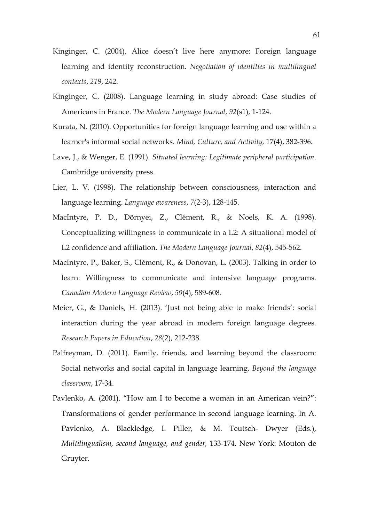- Kinginger, C. (2004). Alice doesn't live here anymore: Foreign language learning and identity reconstruction. *Negotiation of identities in multilingual contexts*, *219*, 242.
- Kinginger, C. (2008). Language learning in study abroad: Case studies of Americans in France. *The Modern Language Journal*, *92*(s1), 1-124.
- Kurata, N. (2010). Opportunities for foreign language learning and use within a learner's informal social networks. *Mind, Culture, and Activity,* 17(4), 382-396.
- Lave, J., & Wenger, E. (1991). *Situated learning: Legitimate peripheral participation*. Cambridge university press.
- Lier, L. V. (1998). The relationship between consciousness, interaction and language learning. *Language awareness*, *7*(2-3), 128-145.
- MacIntyre, P. D., Dörnyei, Z., Clément, R., & Noels, K. A. (1998). Conceptualizing willingness to communicate in a L2: A situational model of L2 confidence and affiliation. *The Modern Language Journal*, *82*(4), 545-562.
- MacIntyre, P., Baker, S., Clément, R., & Donovan, L. (2003). Talking in order to learn: Willingness to communicate and intensive language programs. *Canadian Modern Language Review*, *59*(4), 589-608.
- Meier, G., & Daniels, H. (2013). 'Just not being able to make friends': social interaction during the year abroad in modern foreign language degrees. *Research Papers in Education*, *28*(2), 212-238.
- Palfreyman, D. (2011). Family, friends, and learning beyond the classroom: Social networks and social capital in language learning. *Beyond the language classroom*, 17-34.
- Pavlenko, A. (2001). "How am I to become a woman in an American vein?": Transformations of gender performance in second language learning. In A. Pavlenko, A. Blackledge, I. Piller, & M. Teutsch- Dwyer (Eds.), *Multilingualism, second language, and gender,* 133-174. New York: Mouton de Gruyter.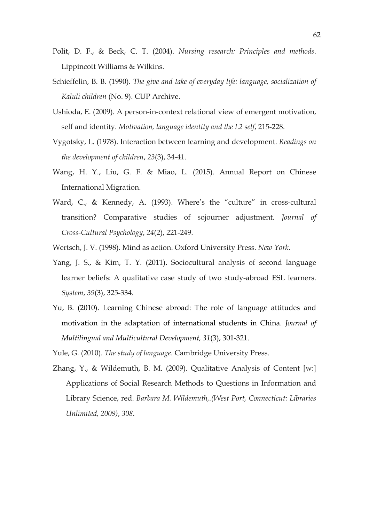- Polit, D. F., & Beck, C. T. (2004). *Nursing research: Principles and methods*. Lippincott Williams & Wilkins.
- Schieffelin, B. B. (1990). *The give and take of everyday life: language, socialization of Kaluli children* (No. 9). CUP Archive.
- Ushioda, E. (2009). A person-in-context relational view of emergent motivation, self and identity. *Motivation, language identity and the L2 self*, 215-228.
- Vygotsky, L. (1978). Interaction between learning and development. *Readings on the development of children*, *23*(3), 34-41.
- Wang, H. Y., Liu, G. F. & Miao, L. (2015). Annual Report on Chinese International Migration.
- Ward, C., & Kennedy, A. (1993). Where's the "culture" in cross-cultural transition? Comparative studies of sojourner adjustment. *Journal of Cross-Cultural Psychology*, *24*(2), 221-249.
- Wertsch, J. V. (1998). Mind as action. Oxford University Press. *New York*.
- Yang, J. S., & Kim, T. Y. (2011). Sociocultural analysis of second language learner beliefs: A qualitative case study of two study-abroad ESL learners. *System*, *39*(3), 325-334.
- Yu, B. (2010). Learning Chinese abroad: The role of language attitudes and motivation in the adaptation of international students in China. *Journal of Multilingual and Multicultural Development, 31*(3), 301-321.
- Yule, G. (2010). *The study of language*. Cambridge University Press.
- Zhang, Y., & Wildemuth, B. M. (2009). Qualitative Analysis of Content [w:] Applications of Social Research Methods to Questions in Information and Library Science, red. *Barbara M. Wildemuth,.(West Port, Connecticut: Libraries Unlimited, 2009)*, *308*.